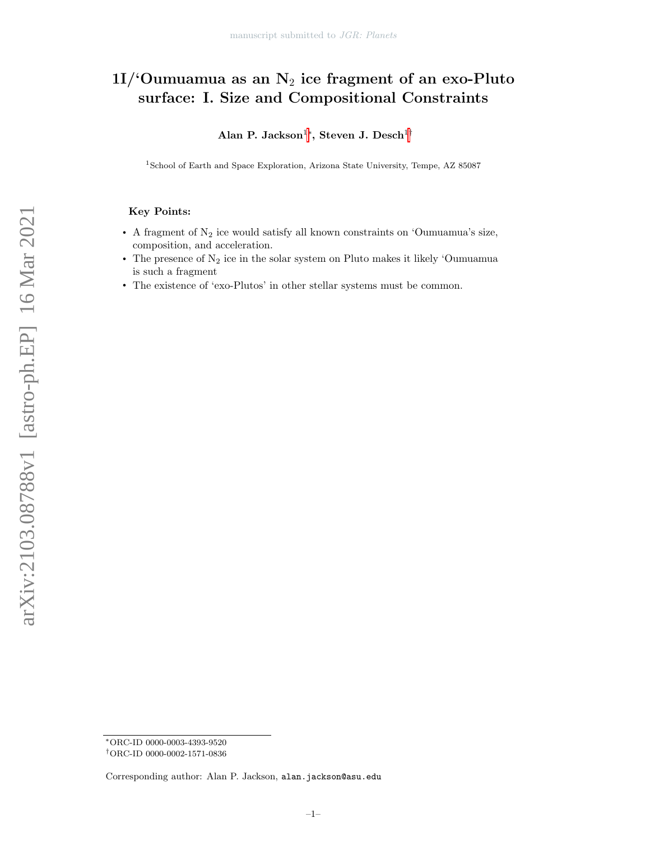# 1I/'Oumuamua as an  $N_2$  ice fragment of an exo-Pluto surface: I. Size and Compositional Constraints

Alan P. Jackson $^{1*}$ , Steven J. Desch $^{1\dagger}$ 

<sup>1</sup>School of Earth and Space Exploration, Arizona State University, Tempe, AZ 85087

# Key Points:

- A fragment of  $N_2$  ice would satisfy all known constraints on 'Oumuamua's size, composition, and acceleration.
- The presence of  $N_2$  ice in the solar system on Pluto makes it likely 'Oumuamua is such a fragment
- The existence of 'exo-Plutos' in other stellar systems must be common.

<span id="page-0-1"></span><span id="page-0-0"></span><sup>∗</sup>ORC-ID 0000-0003-4393-9520

<sup>†</sup>ORC-ID 0000-0002-1571-0836

Corresponding author: Alan P. Jackson, alan.jackson@asu.edu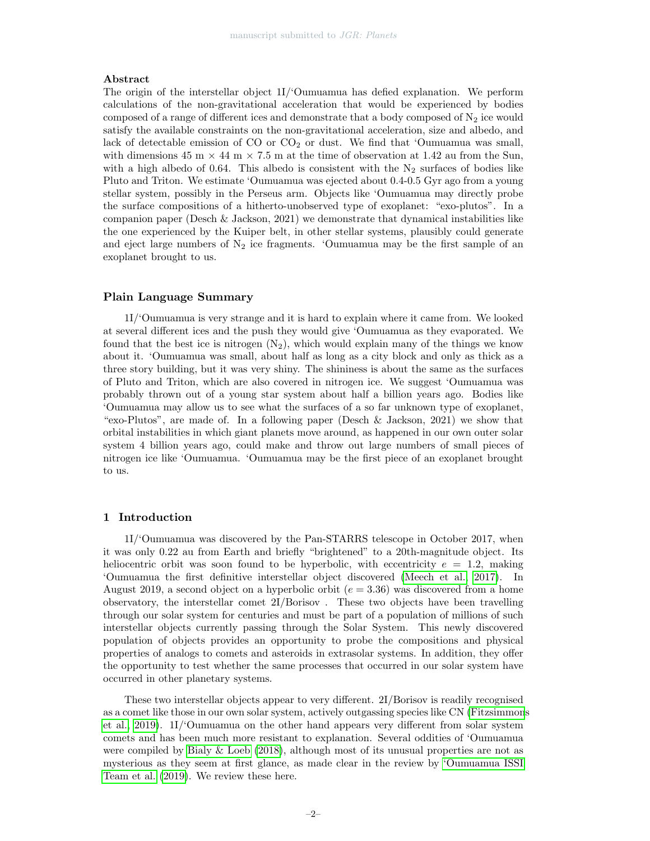# Abstract

The origin of the interstellar object 1I/'Oumuamua has defied explanation. We perform calculations of the non-gravitational acceleration that would be experienced by bodies composed of a range of different ices and demonstrate that a body composed of  $N_2$  ice would satisfy the available constraints on the non-gravitational acceleration, size and albedo, and lack of detectable emission of  $CO$  or  $CO<sub>2</sub>$  or dust. We find that 'Oumuamua was small, with dimensions 45 m  $\times$  44 m  $\times$  7.5 m at the time of observation at 1.42 au from the Sun, with a high albedo of 0.64. This albedo is consistent with the  $N_2$  surfaces of bodies like Pluto and Triton. We estimate 'Oumuamua was ejected about 0.4-0.5 Gyr ago from a young stellar system, possibly in the Perseus arm. Objects like 'Oumuamua may directly probe the surface compositions of a hitherto-unobserved type of exoplanet: "exo-plutos". In a companion paper (Desch & Jackson, 2021) we demonstrate that dynamical instabilities like the one experienced by the Kuiper belt, in other stellar systems, plausibly could generate and eject large numbers of  $N_2$  ice fragments. 'Oumuamua may be the first sample of an exoplanet brought to us.

# Plain Language Summary

1I/'Oumuamua is very strange and it is hard to explain where it came from. We looked at several different ices and the push they would give 'Oumuamua as they evaporated. We found that the best ice is nitrogen  $(N_2)$ , which would explain many of the things we know about it. 'Oumuamua was small, about half as long as a city block and only as thick as a three story building, but it was very shiny. The shininess is about the same as the surfaces of Pluto and Triton, which are also covered in nitrogen ice. We suggest 'Oumuamua was probably thrown out of a young star system about half a billion years ago. Bodies like 'Oumuamua may allow us to see what the surfaces of a so far unknown type of exoplanet, "exo-Plutos", are made of. In a following paper (Desch & Jackson, 2021) we show that orbital instabilities in which giant planets move around, as happened in our own outer solar system 4 billion years ago, could make and throw out large numbers of small pieces of nitrogen ice like 'Oumuamua. 'Oumuamua may be the first piece of an exoplanet brought to us.

## 1 Introduction

1I/'Oumuamua was discovered by the Pan-STARRS telescope in October 2017, when it was only 0.22 au from Earth and briefly "brightened" to a 20th-magnitude object. Its heliocentric orbit was soon found to be hyperbolic, with eccentricity  $e = 1.2$ , making 'Oumuamua the first definitive interstellar object discovered [\(Meech et al., 2017\)](#page-20-0). In August 2019, a second object on a hyperbolic orbit ( $e = 3.36$ ) was discovered from a home observatory, the interstellar comet 2I/Borisov . These two objects have been travelling through our solar system for centuries and must be part of a population of millions of such interstellar objects currently passing through the Solar System. This newly discovered population of objects provides an opportunity to probe the compositions and physical properties of analogs to comets and asteroids in extrasolar systems. In addition, they offer the opportunity to test whether the same processes that occurred in our solar system have occurred in other planetary systems.

These two interstellar objects appear to very different. 2I/Borisov is readily recognised as a comet like those in our own solar system, actively outgassing species like CN [\(Fitzsimmon](#page-18-0)s [et al., 2019\)](#page-18-0). 1I/'Oumuamua on the other hand appears very different from solar system comets and has been much more resistant to explanation. Several oddities of 'Oumuamua were compiled by Bialy  $\&$  Loeb [\(2018\)](#page-16-0), although most of its unusual properties are not as mysterious as they seem at first glance, as made clear in the review by ['Oumuamua ISSI](#page-20-1) [Team et al.](#page-20-1) [\(2019\)](#page-20-1). We review these here.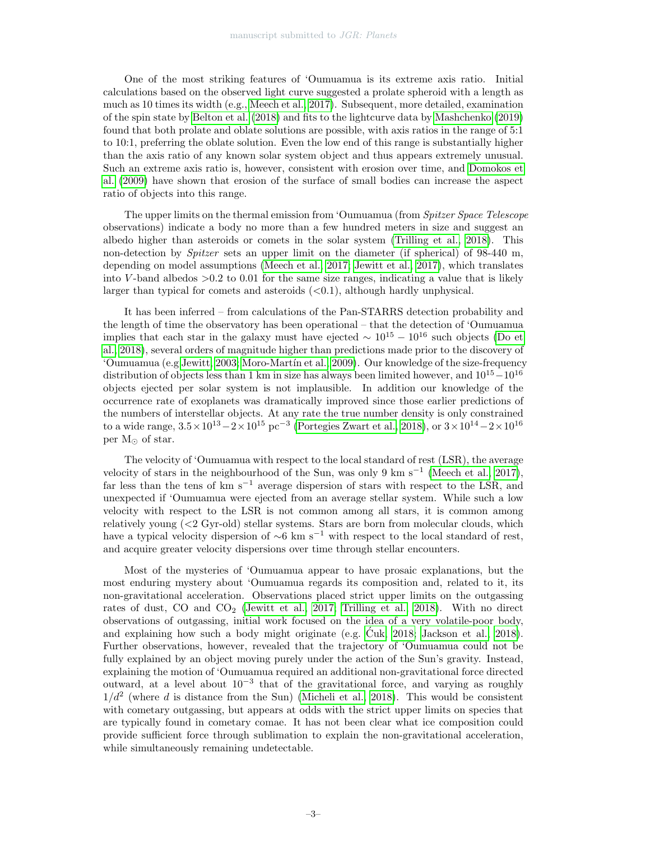One of the most striking features of 'Oumuamua is its extreme axis ratio. Initial calculations based on the observed light curve suggested a prolate spheroid with a length as much as 10 times its width (e.g., [Meech et al., 2017\)](#page-20-0). Subsequent, more detailed, examination of the spin state by [Belton et al.](#page-16-1) [\(2018\)](#page-16-1) and fits to the lightcurve data by [Mashchenko](#page-20-2) [\(2019\)](#page-20-2) found that both prolate and oblate solutions are possible, with axis ratios in the range of 5:1 to 10:1, preferring the oblate solution. Even the low end of this range is substantially higher than the axis ratio of any known solar system object and thus appears extremely unusual. Such an extreme axis ratio is, however, consistent with erosion over time, and [Domokos et](#page-18-1) [al.](#page-18-1) [\(2009\)](#page-18-1) have shown that erosion of the surface of small bodies can increase the aspect ratio of objects into this range.

The upper limits on the thermal emission from 'Oumuamua (from Spitzer Space Telescope observations) indicate a body no more than a few hundred meters in size and suggest an albedo higher than asteroids or comets in the solar system [\(Trilling et al., 2018\)](#page-22-0). This non-detection by Spitzer sets an upper limit on the diameter (if spherical) of 98-440 m, depending on model assumptions [\(Meech et al., 2017;](#page-20-0) [Jewitt et al., 2017\)](#page-19-0), which translates into V-band albedos  $>0.2$  to 0.01 for the same size ranges, indicating a value that is likely larger than typical for comets and asteroids  $( $0.1$ ), although hardly unphysical.$ 

It has been inferred – from calculations of the Pan-STARRS detection probability and the length of time the observatory has been operational – that the detection of 'Oumuamua implies that each star in the galaxy must have ejected  $\sim 10^{15} - 10^{16}$  such objects [\(Do et](#page-18-2) [al., 2018\)](#page-18-2), several orders of magnitude higher than predictions made prior to the discovery of 'Oumuamua (e.g [Jewitt, 2003;](#page-19-1) [Moro-Mart´ın et al., 2009\)](#page-20-3). Our knowledge of the size-frequency distribution of objects less than 1 km in size has always been limited however, and  $10^{15}-10^{16}$ objects ejected per solar system is not implausible. In addition our knowledge of the occurrence rate of exoplanets was dramatically improved since those earlier predictions of the numbers of interstellar objects. At any rate the true number density is only constrained to a wide range,  $3.5 \times 10^{13} - 2 \times 10^{15}$  pc<sup>-3</sup> [\(Portegies Zwart et al., 2018\)](#page-21-0), or  $3 \times 10^{14} - 2 \times 10^{16}$ per  $M_{\odot}$  of star.

The velocity of 'Oumuamua with respect to the local standard of rest (LSR), the average velocity of stars in the neighbourhood of the Sun, was only 9 km s<sup>-1</sup> [\(Meech et al., 2017\)](#page-20-0), far less than the tens of  $km s^{-1}$  average dispersion of stars with respect to the LSR, and unexpected if 'Oumuamua were ejected from an average stellar system. While such a low velocity with respect to the LSR is not common among all stars, it is common among relatively young (<2 Gyr-old) stellar systems. Stars are born from molecular clouds, which have a typical velocity dispersion of  $\sim$ 6 km s<sup>−1</sup> with respect to the local standard of rest, and acquire greater velocity dispersions over time through stellar encounters.

Most of the mysteries of 'Oumuamua appear to have prosaic explanations, but the most enduring mystery about 'Oumuamua regards its composition and, related to it, its non-gravitational acceleration. Observations placed strict upper limits on the outgassing rates of dust, CO and CO<sub>2</sub> [\(Jewitt et al., 2017;](#page-19-0) [Trilling et al., 2018\)](#page-22-0). With no direct observations of outgassing, initial work focused on the idea of a very volatile-poor body, and explaining how such a body might originate (e.g.  $\dot{C}$ uk, 2018; [Jackson et al., 2018\)](#page-19-2). Further observations, however, revealed that the trajectory of 'Oumuamua could not be fully explained by an object moving purely under the action of the Sun's gravity. Instead, explaining the motion of 'Oumuamua required an additional non-gravitational force directed outward, at a level about 10<sup>−</sup><sup>3</sup> that of the gravitational force, and varying as roughly  $1/d^2$  (where d is distance from the Sun) [\(Micheli et al., 2018\)](#page-20-4). This would be consistent with cometary outgassing, but appears at odds with the strict upper limits on species that are typically found in cometary comae. It has not been clear what ice composition could provide sufficient force through sublimation to explain the non-gravitational acceleration, while simultaneously remaining undetectable.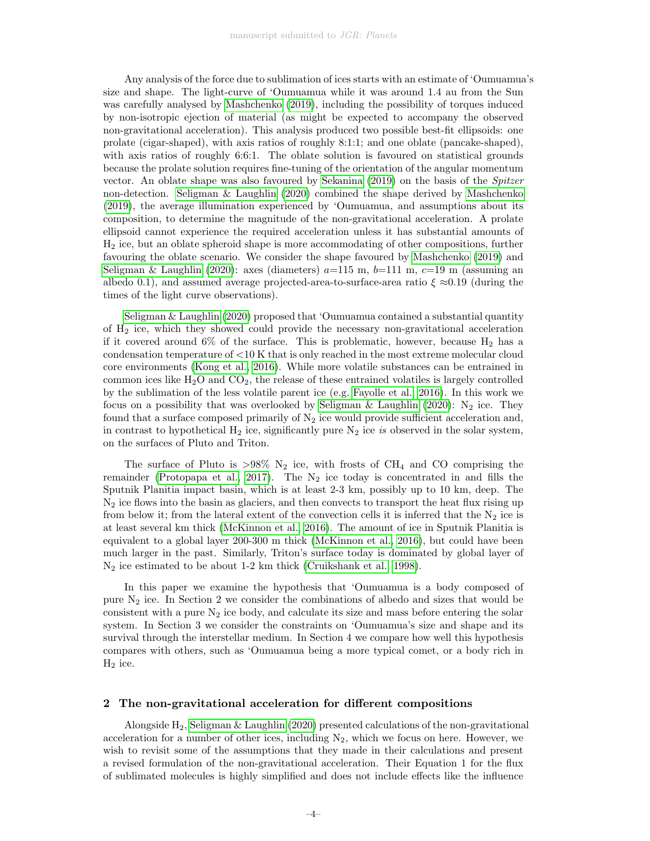Any analysis of the force due to sublimation of ices starts with an estimate of 'Oumuamua's size and shape. The light-curve of 'Oumuamua while it was around 1.4 au from the Sun was carefully analysed by [Mashchenko](#page-20-2) [\(2019\)](#page-20-2), including the possibility of torques induced by non-isotropic ejection of material (as might be expected to accompany the observed non-gravitational acceleration). This analysis produced two possible best-fit ellipsoids: one prolate (cigar-shaped), with axis ratios of roughly 8:1:1; and one oblate (pancake-shaped), with axis ratios of roughly 6:6:1. The oblate solution is favoured on statistical grounds because the prolate solution requires fine-tuning of the orientation of the angular momentum vector. An oblate shape was also favoured by [Sekanina](#page-21-1) [\(2019\)](#page-21-1) on the basis of the Spitzer non-detection. [Seligman & Laughlin](#page-21-2) [\(2020\)](#page-21-2) combined the shape derived by [Mashchenko](#page-20-2) [\(2019\)](#page-20-2), the average illumination experienced by 'Oumuamua, and assumptions about its composition, to determine the magnitude of the non-gravitational acceleration. A prolate ellipsoid cannot experience the required acceleration unless it has substantial amounts of H<sup>2</sup> ice, but an oblate spheroid shape is more accommodating of other compositions, further favouring the oblate scenario. We consider the shape favoured by [Mashchenko](#page-20-2) [\(2019\)](#page-20-2) and [Seligman & Laughlin](#page-21-2) [\(2020\)](#page-21-2): axes (diameters)  $a=115$  m,  $b=111$  m,  $c=19$  m (assuming an albedo 0.1), and assumed average projected-area-to-surface-area ratio  $\xi \approx 0.19$  (during the times of the light curve observations).

[Seligman & Laughlin](#page-21-2) [\(2020\)](#page-21-2) proposed that 'Oumuamua contained a substantial quantity of H<sup>2</sup> ice, which they showed could provide the necessary non-gravitational acceleration if it covered around  $6\%$  of the surface. This is problematic, however, because  $H_2$  has a condensation temperature of  $<$ 10 K that is only reached in the most extreme molecular cloud core environments [\(Kong et al., 2016\)](#page-19-3). While more volatile substances can be entrained in common ices like  $H_2O$  and  $CO<sub>2</sub>$ , the release of these entrained volatiles is largely controlled by the sublimation of the less volatile parent ice (e.g. [Fayolle et al., 2016\)](#page-18-4). In this work we focus on a possibility that was overlooked by [Seligman & Laughlin](#page-21-2) [\(2020\)](#page-21-2):  $N_2$  ice. They found that a surface composed primarily of  $N_2$  ice would provide sufficient acceleration and, in contrast to hypothetical  $H_2$  ice, significantly pure  $N_2$  ice is observed in the solar system, on the surfaces of Pluto and Triton.

The surface of Pluto is  $>98\%$  N<sub>2</sub> ice, with frosts of CH<sub>4</sub> and CO comprising the remainder [\(Protopapa et al., 2017\)](#page-21-3). The  $N_2$  ice today is concentrated in and fills the Sputnik Planitia impact basin, which is at least 2-3 km, possibly up to 10 km, deep. The  $N_2$  ice flows into the basin as glaciers, and then convects to transport the heat flux rising up from below it; from the lateral extent of the convection cells it is inferred that the  $N_2$  ice is at least several km thick [\(McKinnon et al., 2016\)](#page-20-5). The amount of ice in Sputnik Planitia is equivalent to a global layer 200-300 m thick [\(McKinnon et al., 2016\)](#page-20-5), but could have been much larger in the past. Similarly, Triton's surface today is dominated by global layer of N<sup>2</sup> ice estimated to be about 1-2 km thick [\(Cruikshank et al., 1998\)](#page-16-2).

In this paper we examine the hypothesis that 'Oumuamua is a body composed of pure N<sup>2</sup> ice. In Section 2 we consider the combinations of albedo and sizes that would be consistent with a pure  $N_2$  ice body, and calculate its size and mass before entering the solar system. In Section 3 we consider the constraints on 'Oumuamua's size and shape and its survival through the interstellar medium. In Section 4 we compare how well this hypothesis compares with others, such as 'Oumuamua being a more typical comet, or a body rich in  $H_2$  ice.

# 2 The non-gravitational acceleration for different compositions

Alongside  $H_2$ , [Seligman & Laughlin](#page-21-2) [\(2020\)](#page-21-2) presented calculations of the non-gravitational acceleration for a number of other ices, including  $N_2$ , which we focus on here. However, we wish to revisit some of the assumptions that they made in their calculations and present a revised formulation of the non-gravitational acceleration. Their Equation 1 for the flux of sublimated molecules is highly simplified and does not include effects like the influence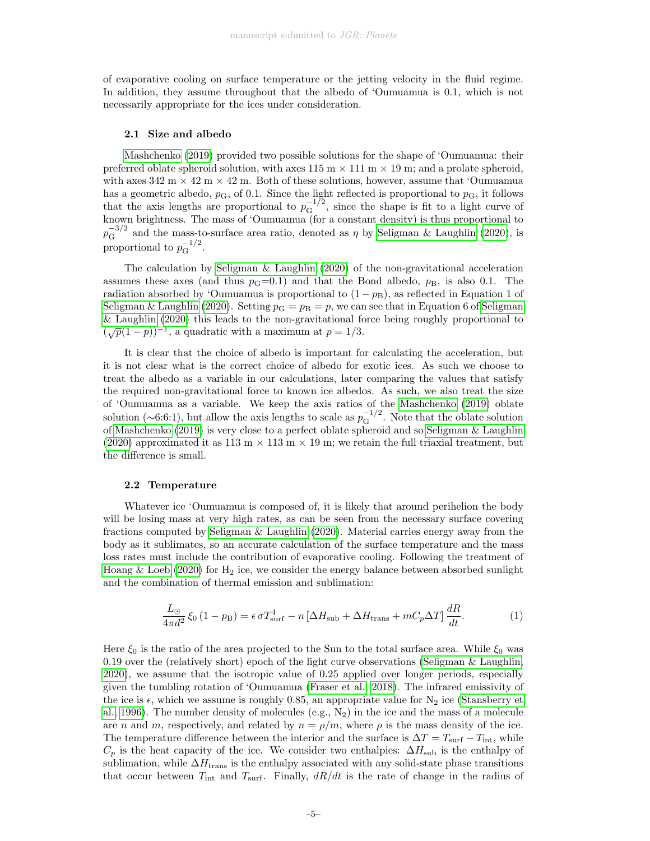of evaporative cooling on surface temperature or the jetting velocity in the fluid regime. In addition, they assume throughout that the albedo of 'Oumuamua is 0.1, which is not necessarily appropriate for the ices under consideration.

# 2.1 Size and albedo

[Mashchenko](#page-20-2) [\(2019\)](#page-20-2) provided two possible solutions for the shape of 'Oumuamua: their preferred oblate spheroid solution, with axes  $115 \text{ m} \times 111 \text{ m} \times 19 \text{ m}$ ; and a prolate spheroid, with axes  $342 \text{ m} \times 42 \text{ m} \times 42 \text{ m}$ . Both of these solutions, however, assume that 'Oumuamua has a geometric albedo,  $p_{\rm G}$ , of 0.1. Since the light reflected is proportional to  $p_{\rm G}$ , it follows that the axis lengths are proportional to  $p_{\rm G}^{-1/2}$ , since the shape is fit to a light curve of known brightness. The mass of 'Oumuamua (for a constant density) is thus proportional to  $p_{\rm G}^{-3/2}$  and the mass-to-surface area ratio, denoted as  $\eta$  by [Seligman & Laughlin](#page-21-2) [\(2020\)](#page-21-2), is proportional to  $p_{\mathcal{G}}^{-1/2}$ .

The calculation by Seligman  $\&$  Laughlin [\(2020\)](#page-21-2) of the non-gravitational acceleration assumes these axes (and thus  $p<sub>G</sub>=0.1$ ) and that the Bond albedo,  $p<sub>B</sub>$ , is also 0.1. The radiation absorbed by 'Oumuamua is proportional to  $(1 - p_B)$ , as reflected in Equation 1 of [Seligman & Laughlin](#page-21-2) [\(2020\)](#page-21-2). Setting  $p_{\rm G} = p_{\rm B} = p$ , we can see that in Equation 6 of [Seligman](#page-21-2) [& Laughlin](#page-21-2) [\(2020\)](#page-21-2) this leads to the non-gravitational force being roughly proportional to  $(\sqrt{p}(1-p))^{-1}$ , a quadratic with a maximum at  $p = 1/3$ .

It is clear that the choice of albedo is important for calculating the acceleration, but it is not clear what is the correct choice of albedo for exotic ices. As such we choose to treat the albedo as a variable in our calculations, later comparing the values that satisfy the required non-gravitational force to known ice albedos. As such, we also treat the size of 'Oumuamua as a variable. We keep the axis ratios of the [Mashchenko](#page-20-2) [\(2019\)](#page-20-2) oblate solution (~6:6:1), but allow the axis lengths to scale as  $p_{\rm G}^{-1/2}$ . Note that the oblate solution of [Mashchenko](#page-20-2) [\(2019\)](#page-20-2) is very close to a perfect oblate spheroid and so [Seligman & Laughlin](#page-21-2) [\(2020\)](#page-21-2) approximated it as 113 m  $\times$  113 m  $\times$  19 m; we retain the full triaxial treatment, but the difference is small.

## 2.2 Temperature

Whatever ice 'Oumuamua is composed of, it is likely that around perihelion the body will be losing mass at very high rates, as can be seen from the necessary surface covering fractions computed by [Seligman & Laughlin](#page-21-2) [\(2020\)](#page-21-2). Material carries energy away from the body as it sublimates, so an accurate calculation of the surface temperature and the mass loss rates must include the contribution of evaporative cooling. Following the treatment of [Hoang & Loeb](#page-19-4) [\(2020\)](#page-19-4) for  $H_2$  ice, we consider the energy balance between absorbed sunlight and the combination of thermal emission and sublimation:

<span id="page-4-0"></span>
$$
\frac{L_{\odot}}{4\pi d^2} \xi_0 \left(1 - p_{\rm B}\right) = \epsilon \sigma T_{\rm surf}^4 - n \left[\Delta H_{\rm sub} + \Delta H_{\rm trans} + mC_p \Delta T\right] \frac{dR}{dt}.\tag{1}
$$

Here  $\xi_0$  is the ratio of the area projected to the Sun to the total surface area. While  $\xi_0$  was 0.19 over the (relatively short) epoch of the light curve observations [\(Seligman & Laughlin,](#page-21-2) [2020\)](#page-21-2), we assume that the isotropic value of 0.25 applied over longer periods, especially given the tumbling rotation of 'Oumuamua [\(Fraser et al., 2018\)](#page-18-5). The infrared emissivity of the ice is  $\epsilon$ , which we assume is roughly 0.85, an appropriate value for N<sub>2</sub> ice [\(Stansberry et](#page-22-1) [al., 1996\)](#page-22-1). The number density of molecules  $(e.g., N_2)$  in the ice and the mass of a molecule are n and m, respectively, and related by  $n = \rho/m$ , where  $\rho$  is the mass density of the ice. The temperature difference between the interior and the surface is  $\Delta T = T_{\text{surf}} - T_{\text{int}}$ , while  $C_p$  is the heat capacity of the ice. We consider two enthalpies:  $\Delta H_{\text{sub}}$  is the enthalpy of sublimation, while  $\Delta H_{\text{trans}}$  is the enthalpy associated with any solid-state phase transitions that occur between  $T_{\text{int}}$  and  $T_{\text{surf}}$ . Finally,  $dR/dt$  is the rate of change in the radius of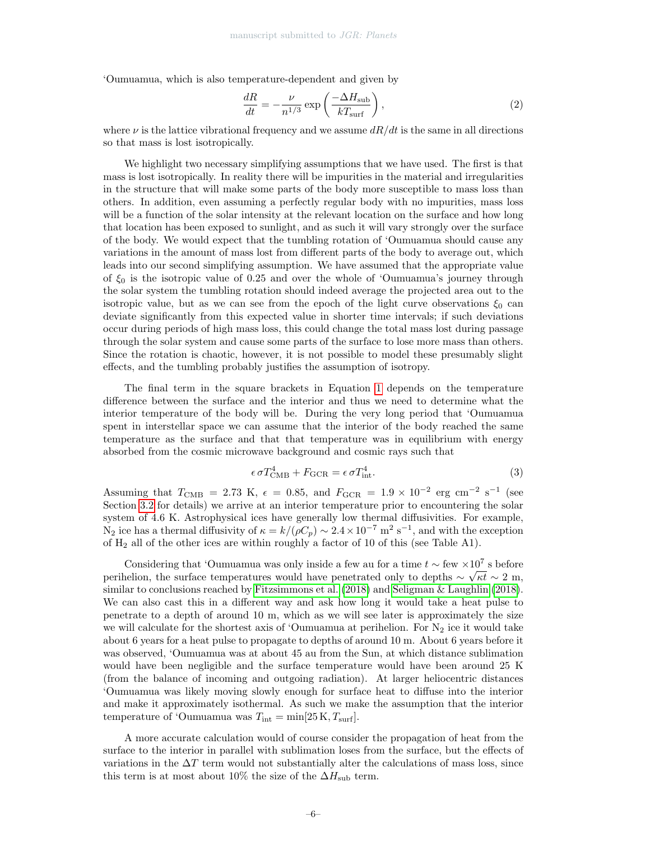'Oumuamua, which is also temperature-dependent and given by

<span id="page-5-0"></span>
$$
\frac{dR}{dt} = -\frac{\nu}{n^{1/3}} \exp\left(\frac{-\Delta H_{\text{sub}}}{kT_{\text{surf}}}\right),\tag{2}
$$

where  $\nu$  is the lattice vibrational frequency and we assume  $dR/dt$  is the same in all directions so that mass is lost isotropically.

We highlight two necessary simplifying assumptions that we have used. The first is that mass is lost isotropically. In reality there will be impurities in the material and irregularities in the structure that will make some parts of the body more susceptible to mass loss than others. In addition, even assuming a perfectly regular body with no impurities, mass loss will be a function of the solar intensity at the relevant location on the surface and how long that location has been exposed to sunlight, and as such it will vary strongly over the surface of the body. We would expect that the tumbling rotation of 'Oumuamua should cause any variations in the amount of mass lost from different parts of the body to average out, which leads into our second simplifying assumption. We have assumed that the appropriate value of  $\xi_0$  is the isotropic value of 0.25 and over the whole of 'Oumuamua's journey through the solar system the tumbling rotation should indeed average the projected area out to the isotropic value, but as we can see from the epoch of the light curve observations  $\xi_0$  can deviate significantly from this expected value in shorter time intervals; if such deviations occur during periods of high mass loss, this could change the total mass lost during passage through the solar system and cause some parts of the surface to lose more mass than others. Since the rotation is chaotic, however, it is not possible to model these presumably slight effects, and the tumbling probably justifies the assumption of isotropy.

The final term in the square brackets in Equation [1](#page-4-0) depends on the temperature difference between the surface and the interior and thus we need to determine what the interior temperature of the body will be. During the very long period that 'Oumuamua spent in interstellar space we can assume that the interior of the body reached the same temperature as the surface and that that temperature was in equilibrium with energy absorbed from the cosmic microwave background and cosmic rays such that

$$
\epsilon \sigma T_{\rm CMB}^4 + F_{\rm GCR} = \epsilon \sigma T_{\rm int}^4. \tag{3}
$$

Assuming that  $T_{\text{CMB}} = 2.73 \text{ K}$ ,  $\epsilon = 0.85$ , and  $F_{\text{GCR}} = 1.9 \times 10^{-2} \text{ erg cm}^{-2} \text{ s}^{-1}$  (see Section [3.2](#page-11-0) for details) we arrive at an interior temperature prior to encountering the solar system of 4.6 K. Astrophysical ices have generally low thermal diffusivities. For example, N<sub>2</sub> ice has a thermal diffusivity of  $\kappa = k/(\rho C_p) \sim 2.4 \times 10^{-7}$  m<sup>2</sup> s<sup>-1</sup>, and with the exception of  $H_2$  all of the other ices are within roughly a factor of 10 of this (see Table A1).

Considering that 'Oumuamua was only inside a few au for a time  $t \sim \text{few} \times 10^7$  s before perihelion, the surface temperatures would have penetrated only to depths  $\sim \sqrt{\kappa t} \sim 2$  m, similar to conclusions reached by [Fitzsimmons et al.](#page-18-6) [\(2018\)](#page-18-6) and [Seligman & Laughlin](#page-21-4) [\(2018\)](#page-21-4). We can also cast this in a different way and ask how long it would take a heat pulse to penetrate to a depth of around 10 m, which as we will see later is approximately the size we will calculate for the shortest axis of 'Oumuamua at perihelion. For  $N_2$  ice it would take about 6 years for a heat pulse to propagate to depths of around 10 m. About 6 years before it was observed, 'Oumuamua was at about 45 au from the Sun, at which distance sublimation would have been negligible and the surface temperature would have been around 25 K (from the balance of incoming and outgoing radiation). At larger heliocentric distances 'Oumuamua was likely moving slowly enough for surface heat to diffuse into the interior and make it approximately isothermal. As such we make the assumption that the interior temperature of 'Oumuamua was  $T_{\text{int}} = \min[25 \text{ K}, T_{\text{surf}}].$ 

A more accurate calculation would of course consider the propagation of heat from the surface to the interior in parallel with sublimation loses from the surface, but the effects of variations in the  $\Delta T$  term would not substantially alter the calculations of mass loss, since this term is at most about 10% the size of the  $\Delta H_{\text{sub}}$  term.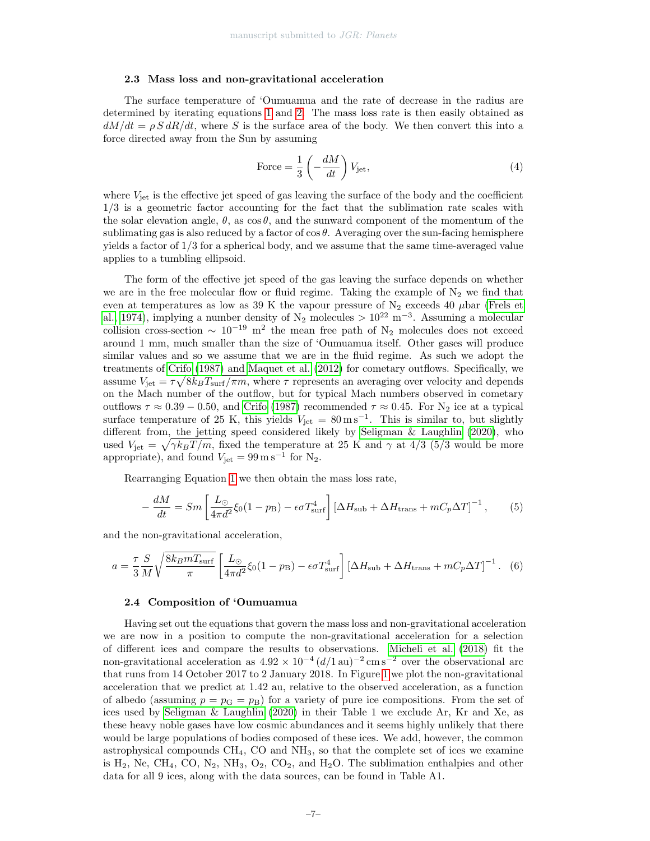#### 2.3 Mass loss and non-gravitational acceleration

The surface temperature of 'Oumuamua and the rate of decrease in the radius are determined by iterating equations [1](#page-4-0) and [2.](#page-5-0) The mass loss rate is then easily obtained as  $dM/dt = \rho S dR/dt$ , where S is the surface area of the body. We then convert this into a force directed away from the Sun by assuming

Force = 
$$
\frac{1}{3} \left( -\frac{dM}{dt} \right) V_{\text{jet}},
$$
 (4)

where  $V_{\text{jet}}$  is the effective jet speed of gas leaving the surface of the body and the coefficient 1/3 is a geometric factor accounting for the fact that the sublimation rate scales with the solar elevation angle,  $\theta$ , as  $\cos \theta$ , and the sunward component of the momentum of the sublimating gas is also reduced by a factor of  $\cos \theta$ . Averaging over the sun-facing hemisphere yields a factor of 1/3 for a spherical body, and we assume that the same time-averaged value applies to a tumbling ellipsoid.

The form of the effective jet speed of the gas leaving the surface depends on whether we are in the free molecular flow or fluid regime. Taking the example of  $N_2$  we find that even at temperatures as low as 39 K the vapour pressure of  $N_2$  exceeds 40  $\mu$ bar [\(Frels et](#page-18-7) [al., 1974\)](#page-18-7), implying a number density of  $N_2$  molecules  $> 10^{22}$  m<sup>-3</sup>. Assuming a molecular collision cross-section  $\sim 10^{-19}$  m<sup>2</sup> the mean free path of N<sub>2</sub> molecules does not exceed around 1 mm, much smaller than the size of 'Oumuamua itself. Other gases will produce similar values and so we assume that we are in the fluid regime. As such we adopt the treatments of [Crifo](#page-16-3) [\(1987\)](#page-16-3) and [Maquet et al.](#page-20-6) [\(2012\)](#page-20-6) for cometary outflows. Specifically, we assume  $V_{\rm jet} = \tau \sqrt{8k_B T_{\rm surf}/\pi m}$ , where  $\tau$  represents an averaging over velocity and depends on the Mach number of the outflow, but for typical Mach numbers observed in cometary outflows  $\tau \approx 0.39 - 0.50$ , and [Crifo](#page-16-3) [\(1987\)](#page-16-3) recommended  $\tau \approx 0.45$ . For N<sub>2</sub> ice at a typical surface temperature of 25 K, this yields  $V_{jet} = 80 \,\mathrm{m\,s^{-1}}$ . This is similar to, but slightly different from, the jetting speed considered likely by [Seligman & Laughlin](#page-21-2) [\(2020\)](#page-21-2), who used  $V_{\rm jet} = \sqrt{\gamma k_B T / m}$ , fixed the temperature at 25 K and  $\gamma$  at 4/3 (5/3 would be more appropriate), and found  $V_{\text{jet}} = 99 \,\mathrm{m}\,\mathrm{s}^{-1}$  for  $N_2$ .

Rearranging Equation [1](#page-4-0) we then obtain the mass loss rate,

<span id="page-6-0"></span>
$$
-\frac{dM}{dt} = Sm \left[ \frac{L_{\odot}}{4\pi d^2} \xi_0 (1 - p_B) - \epsilon \sigma T_{\text{surf}}^4 \right] \left[ \Delta H_{\text{sub}} + \Delta H_{\text{trans}} + m C_p \Delta T \right]^{-1},\tag{5}
$$

and the non-gravitational acceleration,

<span id="page-6-1"></span>
$$
a = \frac{\tau}{3} \frac{S}{M} \sqrt{\frac{8k_B m T_{\text{surf}}}{\pi}} \left[ \frac{L_{\odot}}{4\pi d^2} \xi_0 (1 - p_{\text{B}}) - \epsilon \sigma T_{\text{surf}}^4 \right] \left[ \Delta H_{\text{sub}} + \Delta H_{\text{trans}} + m C_p \Delta T \right]^{-1}.
$$
 (6)

#### 2.4 Composition of 'Oumuamua

Having set out the equations that govern the mass loss and non-gravitational acceleration we are now in a position to compute the non-gravitational acceleration for a selection of different ices and compare the results to observations. [Micheli et al.](#page-20-4) [\(2018\)](#page-20-4) fit the non-gravitational acceleration as  $4.92 \times 10^{-4} (d/1 \text{ au})^{-2} \text{ cm s}^{-2}$  over the observational arc that runs from 14 October 2017 to 2 January 2018. In Figure [1](#page-7-0) we plot the non-gravitational acceleration that we predict at 1.42 au, relative to the observed acceleration, as a function of albedo (assuming  $p = p<sub>G</sub> = p<sub>B</sub>$ ) for a variety of pure ice compositions. From the set of ices used by [Seligman & Laughlin](#page-21-2) [\(2020\)](#page-21-2) in their Table 1 we exclude Ar, Kr and Xe, as these heavy noble gases have low cosmic abundances and it seems highly unlikely that there would be large populations of bodies composed of these ices. We add, however, the common astrophysical compounds  $CH_4$ ,  $CO$  and  $NH_3$ , so that the complete set of ices we examine is  $H_2$ , Ne, CH<sub>4</sub>, CO, N<sub>2</sub>, NH<sub>3</sub>, O<sub>2</sub>, CO<sub>2</sub>, and H<sub>2</sub>O. The sublimation enthalpies and other data for all 9 ices, along with the data sources, can be found in Table A1.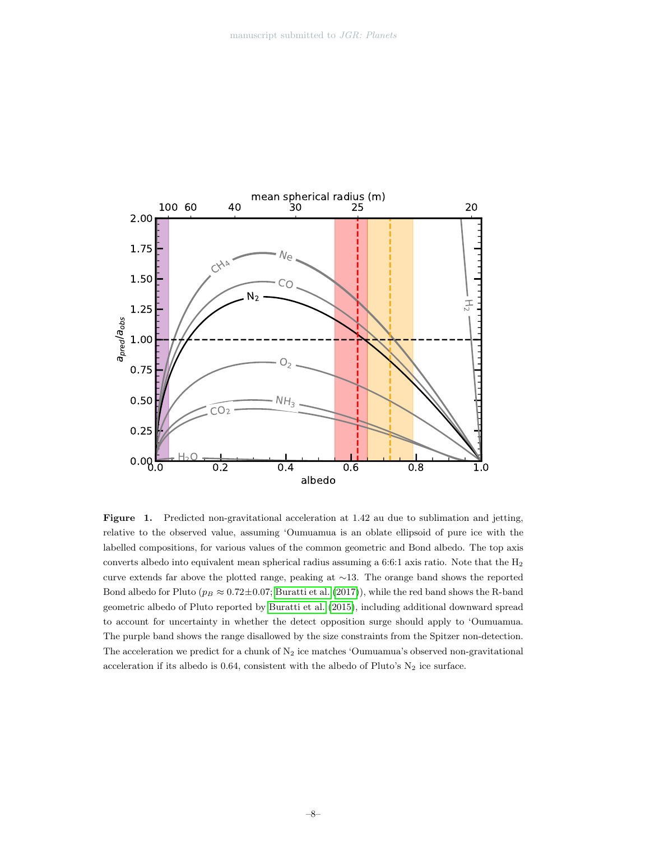

<span id="page-7-0"></span>Figure 1. Predicted non-gravitational acceleration at 1.42 au due to sublimation and jetting, relative to the observed value, assuming 'Oumuamua is an oblate ellipsoid of pure ice with the labelled compositions, for various values of the common geometric and Bond albedo. The top axis converts albedo into equivalent mean spherical radius assuming a 6:6:1 axis ratio. Note that the  $H_2$ curve extends far above the plotted range, peaking at ∼13. The orange band shows the reported Bond albedo for Pluto ( $p_B \approx 0.72 \pm 0.07$ ; [Buratti et al.](#page-16-4) [\(2017\)](#page-16-4)), while the red band shows the R-band geometric albedo of Pluto reported by [Buratti et al.](#page-16-5) [\(2015\)](#page-16-5), including additional downward spread to account for uncertainty in whether the detect opposition surge should apply to 'Oumuamua. The purple band shows the range disallowed by the size constraints from the Spitzer non-detection. The acceleration we predict for a chunk of  $N_2$  ice matches 'Oumuamua's observed non-gravitational acceleration if its albedo is 0.64, consistent with the albedo of Pluto's  $N_2$  ice surface.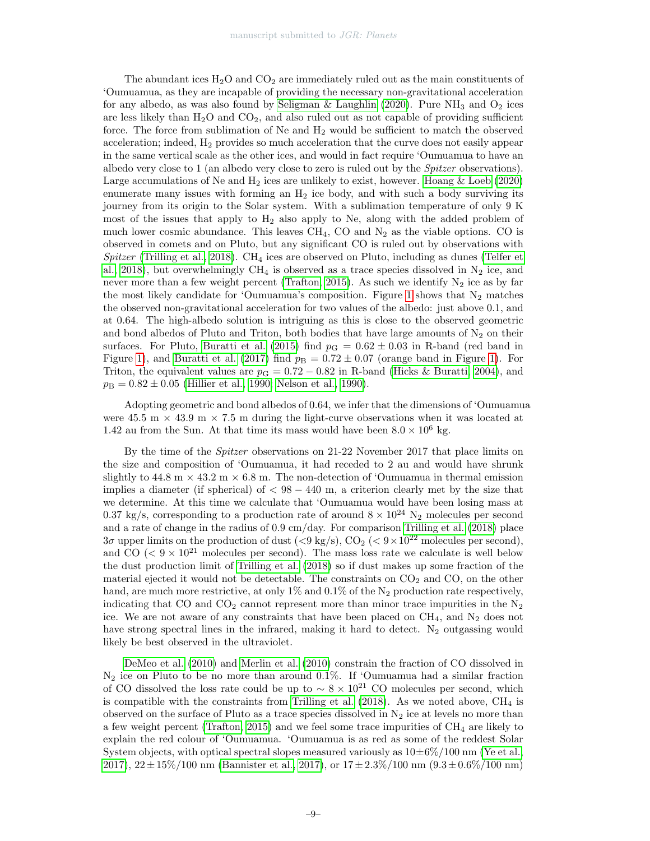The abundant ices  $H_2O$  and  $CO_2$  are immediately ruled out as the main constituents of 'Oumuamua, as they are incapable of providing the necessary non-gravitational acceleration for any albedo, as was also found by [Seligman & Laughlin](#page-21-2) [\(2020\)](#page-21-2). Pure  $NH_3$  and  $O_2$  ices are less likely than  $H_2O$  and  $CO<sub>2</sub>$ , and also ruled out as not capable of providing sufficient force. The force from sublimation of  $Ne$  and  $H_2$  would be sufficient to match the observed acceleration; indeed,  $H_2$  provides so much acceleration that the curve does not easily appear in the same vertical scale as the other ices, and would in fact require 'Oumuamua to have an albedo very close to 1 (an albedo very close to zero is ruled out by the Spitzer observations). Large accumulations of Ne and  $H_2$  ices are unlikely to exist, however. [Hoang & Loeb](#page-19-4) [\(2020\)](#page-19-4) enumerate many issues with forming an  $H_2$  ice body, and with such a body surviving its journey from its origin to the Solar system. With a sublimation temperature of only 9 K most of the issues that apply to  $H_2$  also apply to Ne, along with the added problem of much lower cosmic abundance. This leaves  $\text{CH}_4$ , CO and  $\text{N}_2$  as the viable options. CO is observed in comets and on Pluto, but any significant CO is ruled out by observations with Spitzer [\(Trilling et al., 2018\)](#page-22-0). CH<sub>4</sub> ices are observed on Pluto, including as dunes [\(Telfer et](#page-22-2) [al., 2018\)](#page-22-2), but overwhelmingly  $CH_4$  is observed as a trace species dissolved in  $N_2$  ice, and never more than a few weight percent [\(Trafton, 2015\)](#page-22-3). As such we identify  $N_2$  ice as by far the most likely candidate for 'Oumuamua's composition. Figure [1](#page-7-0) shows that  $N_2$  matches the observed non-gravitational acceleration for two values of the albedo: just above 0.1, and at 0.64. The high-albedo solution is intriguing as this is close to the observed geometric and bond albedos of Pluto and Triton, both bodies that have large amounts of  $N_2$  on their surfaces. For Pluto, [Buratti et al.](#page-16-5) [\(2015\)](#page-16-5) find  $p<sub>G</sub> = 0.62 \pm 0.03$  in R-band (red band in Figure [1\)](#page-7-0), and [Buratti et al.](#page-16-4) [\(2017\)](#page-16-4) find  $p_B = 0.72 \pm 0.07$  (orange band in Figure 1). For Triton, the equivalent values are  $p_{\rm G} = 0.72 - 0.82$  in R-band [\(Hicks & Buratti, 2004\)](#page-19-5), and  $p_{\rm B} = 0.82 \pm 0.05$  [\(Hillier et al., 1990;](#page-19-6) [Nelson et al., 1990\)](#page-20-7).

Adopting geometric and bond albedos of 0.64, we infer that the dimensions of 'Oumuamua were 45.5 m  $\times$  43.9 m  $\times$  7.5 m during the light-curve observations when it was located at 1.42 au from the Sun. At that time its mass would have been  $8.0 \times 10^6$  kg.

By the time of the Spitzer observations on 21-22 November 2017 that place limits on the size and composition of 'Oumuamua, it had receded to 2 au and would have shrunk slightly to  $44.8 \text{ m} \times 43.2 \text{ m} \times 6.8 \text{ m}$ . The non-detection of 'Oumuamua in thermal emission implies a diameter (if spherical) of  $\langle 98 - 440 \text{ m}$ , a criterion clearly met by the size that we determine. At this time we calculate that 'Oumuamua would have been losing mass at 0.37 kg/s, corresponding to a production rate of around  $8 \times 10^{24}$  N<sub>2</sub> molecules per second and a rate of change in the radius of 0.9 cm/day. For comparison [Trilling et al.](#page-22-0) [\(2018\)](#page-22-0) place  $3\sigma$  upper limits on the production of dust  $(< 9 \text{ kg/s})$ ,  $CO_2$  ( $< 9 \times 10^{22}$  molecules per second), and CO ( $\leq 9 \times 10^{21}$  molecules per second). The mass loss rate we calculate is well below the dust production limit of [Trilling et al.](#page-22-0) [\(2018\)](#page-22-0) so if dust makes up some fraction of the material ejected it would not be detectable. The constraints on  $CO<sub>2</sub>$  and  $CO<sub>2</sub>$ , on the other hand, are much more restrictive, at only 1% and 0.1% of the  $N_2$  production rate respectively, indicating that  $CO$  and  $CO<sub>2</sub>$  cannot represent more than minor trace impurities in the  $N<sub>2</sub>$ ice. We are not aware of any constraints that have been placed on  $CH_4$ , and  $N_2$  does not have strong spectral lines in the infrared, making it hard to detect.  $N_2$  outgassing would likely be best observed in the ultraviolet.

[DeMeo et al.](#page-18-8) [\(2010\)](#page-18-8) and [Merlin et al.](#page-20-8) [\(2010\)](#page-20-8) constrain the fraction of CO dissolved in  $N_2$  ice on Pluto to be no more than around 0.1%. If 'Oumuamua had a similar fraction of CO dissolved the loss rate could be up to  $\sim 8 \times 10^{21}$  CO molecules per second, which is compatible with the constraints from [Trilling et al.](#page-22-0)  $(2018)$ . As we noted above,  $CH<sub>4</sub>$  is observed on the surface of Pluto as a trace species dissolved in  $N_2$  ice at levels no more than a few weight percent [\(Trafton, 2015\)](#page-22-3) and we feel some trace impurities of  $CH<sub>4</sub>$  are likely to explain the red colour of 'Oumuamua. 'Oumuamua is as red as some of the reddest Solar System objects, with optical spectral slopes measured variously as  $10\pm6\%/100$  nm [\(Ye et al.,](#page-23-0) [2017\)](#page-23-0),  $22 \pm 15\%/100 \text{ nm}$  [\(Bannister et al., 2017\)](#page-16-6), or  $17 \pm 2.3\%/100 \text{ nm}$  ( $9.3 \pm 0.6\%/100 \text{ nm}$ )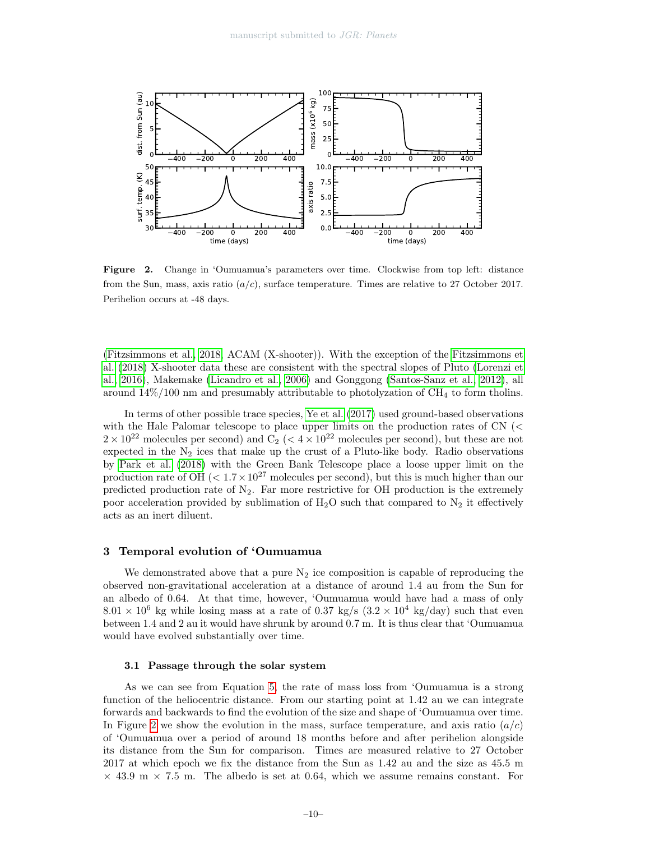

<span id="page-9-0"></span>Figure 2. Change in 'Oumuamua's parameters over time. Clockwise from top left: distance from the Sun, mass, axis ratio  $(a/c)$ , surface temperature. Times are relative to 27 October 2017. Perihelion occurs at -48 days.

[\(Fitzsimmons et al., 2018,](#page-18-6) ACAM (X-shooter)). With the exception of the [Fitzsimmons et](#page-18-6) [al.](#page-18-6) [\(2018\)](#page-18-6) X-shooter data these are consistent with the spectral slopes of Pluto [\(Lorenzi et](#page-20-9) [al., 2016\)](#page-20-9), Makemake [\(Licandro et al., 2006\)](#page-19-7) and Gonggong [\(Santos-Sanz et al., 2012\)](#page-21-5), all around  $14\%/100 \text{ nm}$  and presumably attributable to photolyzation of CH<sub>4</sub> to form tholins.

In terms of other possible trace species, [Ye et al.](#page-23-0) [\(2017\)](#page-23-0) used ground-based observations with the Hale Palomar telescope to place upper limits on the production rates of CN (<  $2 \times 10^{22}$  molecules per second) and  $C_2$  ( $\lt 4 \times 10^{22}$  molecules per second), but these are not expected in the  $N_2$  ices that make up the crust of a Pluto-like body. Radio observations by [Park et al.](#page-21-6) [\(2018\)](#page-21-6) with the Green Bank Telescope place a loose upper limit on the production rate of OH  $(< 1.7 \times 10^{27}$  molecules per second), but this is much higher than our predicted production rate of  $N_2$ . Far more restrictive for OH production is the extremely poor acceleration provided by sublimation of  $H_2O$  such that compared to  $N_2$  it effectively acts as an inert diluent.

## 3 Temporal evolution of 'Oumuamua

We demonstrated above that a pure  $N_2$  ice composition is capable of reproducing the observed non-gravitational acceleration at a distance of around 1.4 au from the Sun for an albedo of 0.64. At that time, however, 'Oumuamua would have had a mass of only  $8.01 \times 10^6$  kg while losing mass at a rate of 0.37 kg/s  $(3.2 \times 10^4 \text{ kg/day})$  such that even between 1.4 and 2 au it would have shrunk by around 0.7 m. It is thus clear that 'Oumuamua would have evolved substantially over time.

#### 3.1 Passage through the solar system

As we can see from Equation [5,](#page-6-0) the rate of mass loss from 'Oumuamua is a strong function of the heliocentric distance. From our starting point at 1.42 au we can integrate forwards and backwards to find the evolution of the size and shape of 'Oumuamua over time. In Figure [2](#page-9-0) we show the evolution in the mass, surface temperature, and axis ratio  $(a/c)$ of 'Oumuamua over a period of around 18 months before and after perihelion alongside its distance from the Sun for comparison. Times are measured relative to 27 October 2017 at which epoch we fix the distance from the Sun as 1.42 au and the size as 45.5 m  $\times$  43.9 m  $\times$  7.5 m. The albedo is set at 0.64, which we assume remains constant. For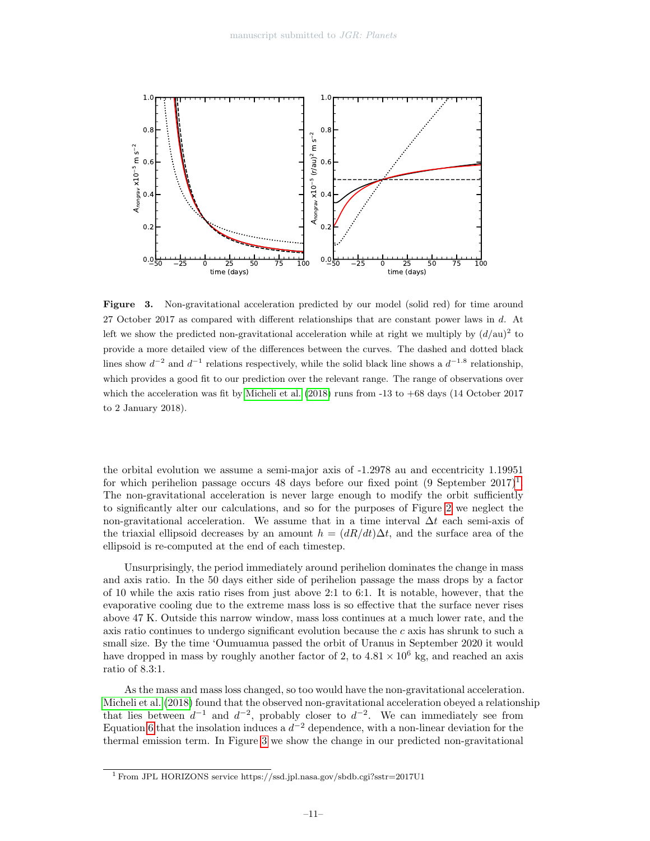

<span id="page-10-1"></span>Figure 3. Non-gravitational acceleration predicted by our model (solid red) for time around 27 October 2017 as compared with different relationships that are constant power laws in d. At left we show the predicted non-gravitational acceleration while at right we multiply by  $(d/au)^2$  to provide a more detailed view of the differences between the curves. The dashed and dotted black lines show  $d^{-2}$  and  $d^{-1}$  relations respectively, while the solid black line shows a  $d^{-1.8}$  relationship, which provides a good fit to our prediction over the relevant range. The range of observations over which the acceleration was fit by [Micheli et al.](#page-20-4) [\(2018\)](#page-20-4) runs from -13 to +68 days (14 October 2017 to 2 January 2018).

the orbital evolution we assume a semi-major axis of -1.2978 au and eccentricity 1.19951 for which perihelion passage occurs 48 days before our fixed point  $(9$  September  $2017)^1$  $2017)^1$  $2017)^1$ . The non-gravitational acceleration is never large enough to modify the orbit sufficiently to significantly alter our calculations, and so for the purposes of Figure [2](#page-9-0) we neglect the non-gravitational acceleration. We assume that in a time interval  $\Delta t$  each semi-axis of the triaxial ellipsoid decreases by an amount  $h = (dR/dt) \Delta t$ , and the surface area of the ellipsoid is re-computed at the end of each timestep.

Unsurprisingly, the period immediately around perihelion dominates the change in mass and axis ratio. In the 50 days either side of perihelion passage the mass drops by a factor of 10 while the axis ratio rises from just above 2:1 to 6:1. It is notable, however, that the evaporative cooling due to the extreme mass loss is so effective that the surface never rises above 47 K. Outside this narrow window, mass loss continues at a much lower rate, and the axis ratio continues to undergo significant evolution because the  $c$  axis has shrunk to such a small size. By the time 'Oumuamua passed the orbit of Uranus in September 2020 it would have dropped in mass by roughly another factor of 2, to  $4.81 \times 10^6$  kg, and reached an axis ratio of 8.3:1.

As the mass and mass loss changed, so too would have the non-gravitational acceleration. [Micheli et al.](#page-20-4) [\(2018\)](#page-20-4) found that the observed non-gravitational acceleration obeyed a relationship that lies between  $d^{-1}$  and  $d^{-2}$ , probably closer to  $d^{-2}$ . We can immediately see from Equation [6](#page-6-1) that the insolation induces a  $d^{-2}$  dependence, with a non-linear deviation for the thermal emission term. In Figure [3](#page-10-1) we show the change in our predicted non-gravitational

<span id="page-10-0"></span><sup>1</sup> From JPL HORIZONS service https://ssd.jpl.nasa.gov/sbdb.cgi?sstr=2017U1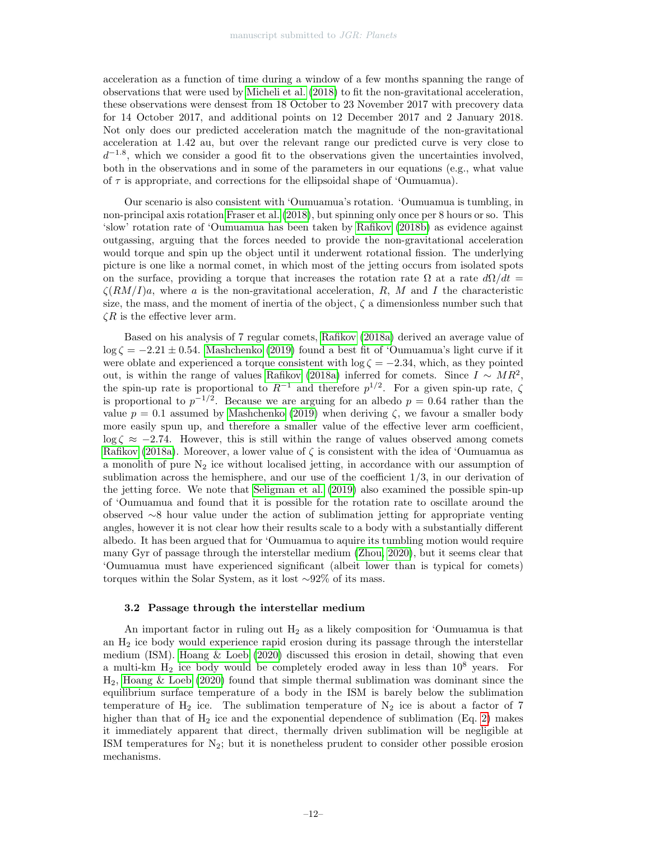acceleration as a function of time during a window of a few months spanning the range of observations that were used by [Micheli et al.](#page-20-4) [\(2018\)](#page-20-4) to fit the non-gravitational acceleration, these observations were densest from 18 October to 23 November 2017 with precovery data for 14 October 2017, and additional points on 12 December 2017 and 2 January 2018. Not only does our predicted acceleration match the magnitude of the non-gravitational acceleration at 1.42 au, but over the relevant range our predicted curve is very close to  $d^{-1.8}$ , which we consider a good fit to the observations given the uncertainties involved, both in the observations and in some of the parameters in our equations (e.g., what value of  $\tau$  is appropriate, and corrections for the ellipsoidal shape of 'Oumuamua).

Our scenario is also consistent with 'Oumuamua's rotation. 'Oumuamua is tumbling, in non-principal axis rotation [Fraser et al.](#page-18-5) [\(2018\)](#page-18-5), but spinning only once per 8 hours or so. This 'slow' rotation rate of 'Oumuamua has been taken by [Rafikov](#page-21-7) [\(2018b\)](#page-21-7) as evidence against outgassing, arguing that the forces needed to provide the non-gravitational acceleration would torque and spin up the object until it underwent rotational fission. The underlying picture is one like a normal comet, in which most of the jetting occurs from isolated spots on the surface, providing a torque that increases the rotation rate  $\Omega$  at a rate  $d\Omega/dt =$  $\zeta(RM/I)a$ , where a is the non-gravitational acceleration, R, M and I the characteristic size, the mass, and the moment of inertia of the object,  $\zeta$  a dimensionless number such that  $\zeta R$  is the effective lever arm.

Based on his analysis of 7 regular comets, [Rafikov](#page-21-8) [\(2018a\)](#page-21-8) derived an average value of  $\log \zeta = -2.21 \pm 0.54$ . [Mashchenko](#page-20-2) [\(2019\)](#page-20-2) found a best fit of 'Oumuamua's light curve if it were oblate and experienced a torque consistent with  $\log \zeta = -2.34$ , which, as they pointed out, is within the range of values [Rafikov](#page-21-8) [\(2018a\)](#page-21-8) inferred for comets. Since  $I \sim MR^2$ , the spin-up rate is proportional to  $R^{-1}$  and therefore  $p^{1/2}$ . For a given spin-up rate,  $\zeta$ is proportional to  $p^{-1/2}$ . Because we are arguing for an albedo  $p = 0.64$  rather than the value  $p = 0.1$  assumed by [Mashchenko](#page-20-2) [\(2019\)](#page-20-2) when deriving  $\zeta$ , we favour a smaller body more easily spun up, and therefore a smaller value of the effective lever arm coefficient,  $\log \zeta \approx -2.74$ . However, this is still within the range of values observed among comets [Rafikov](#page-21-8) [\(2018a\)](#page-21-8). Moreover, a lower value of  $\zeta$  is consistent with the idea of 'Oumuamua as a monolith of pure  $N_2$  ice without localised jetting, in accordance with our assumption of sublimation across the hemisphere, and our use of the coefficient  $1/3$ , in our derivation of the jetting force. We note that [Seligman et al.](#page-21-9) [\(2019\)](#page-21-9) also examined the possible spin-up of 'Oumuamua and found that it is possible for the rotation rate to oscillate around the observed ∼8 hour value under the action of sublimation jetting for appropriate venting angles, however it is not clear how their results scale to a body with a substantially different albedo. It has been argued that for 'Oumuamua to aquire its tumbling motion would require many Gyr of passage through the interstellar medium [\(Zhou, 2020\)](#page-23-1), but it seems clear that 'Oumuamua must have experienced significant (albeit lower than is typical for comets) torques within the Solar System, as it lost ∼92% of its mass.

## <span id="page-11-0"></span>3.2 Passage through the interstellar medium

An important factor in ruling out  $H_2$  as a likely composition for 'Oumuamua is that an H<sup>2</sup> ice body would experience rapid erosion during its passage through the interstellar medium (ISM). Hoang  $&$  Loeb [\(2020\)](#page-19-4) discussed this erosion in detail, showing that even a multi-km  $H_2$  ice body would be completely eroded away in less than  $10^8$  years. For  $H_2$ , [Hoang & Loeb](#page-19-4) [\(2020\)](#page-19-4) found that simple thermal sublimation was dominant since the equilibrium surface temperature of a body in the ISM is barely below the sublimation temperature of  $H_2$  ice. The sublimation temperature of  $N_2$  ice is about a factor of 7 higher than that of  $H_2$  ice and the exponential dependence of sublimation (Eq. [2\)](#page-5-0) makes it immediately apparent that direct, thermally driven sublimation will be negligible at ISM temperatures for  $N_2$ ; but it is nonetheless prudent to consider other possible erosion mechanisms.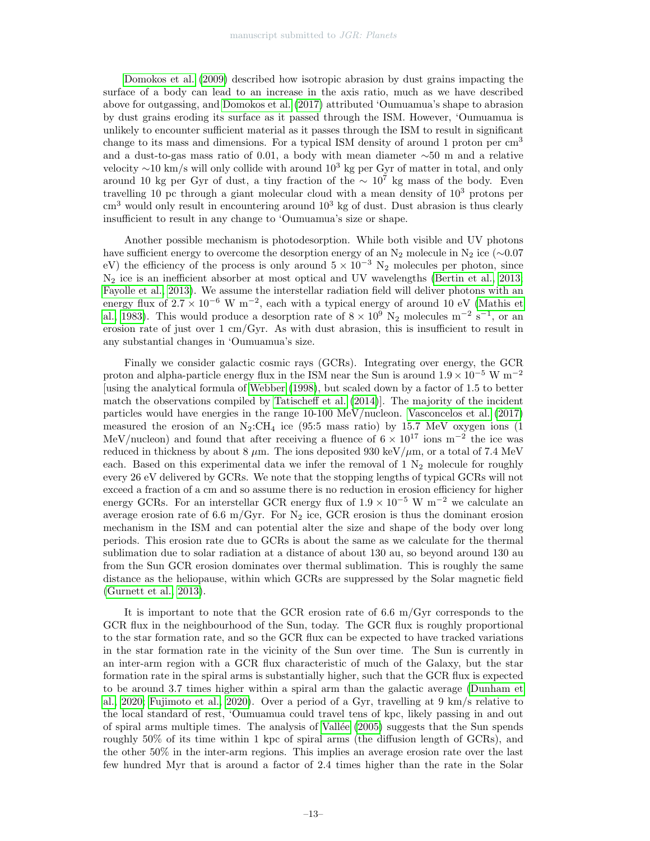[Domokos et al.](#page-18-1) [\(2009\)](#page-18-1) described how isotropic abrasion by dust grains impacting the surface of a body can lead to an increase in the axis ratio, much as we have described above for outgassing, and [Domokos et al.](#page-18-9) [\(2017\)](#page-18-9) attributed 'Oumuamua's shape to abrasion by dust grains eroding its surface as it passed through the ISM. However, 'Oumuamua is unlikely to encounter sufficient material as it passes through the ISM to result in significant change to its mass and dimensions. For a typical ISM density of around 1 proton per cm<sup>3</sup> and a dust-to-gas mass ratio of 0.01, a body with mean diameter ∼50 m and a relative velocity  $\sim$ 10 km/s will only collide with around 10<sup>3</sup> kg per Gyr of matter in total, and only around 10 kg per Gyr of dust, a tiny fraction of the  $\sim 10^7$  kg mass of the body. Even travelling 10 pc through a giant molecular cloud with a mean density of  $10<sup>3</sup>$  protons per  $\text{cm}^3$  would only result in encountering around  $10^3$  kg of dust. Dust abrasion is thus clearly insufficient to result in any change to 'Oumuamua's size or shape.

Another possible mechanism is photodesorption. While both visible and UV photons have sufficient energy to overcome the desorption energy of an  $\mathrm{N}_2$  molecule in  $\mathrm{N}_2$ ice (∼0.07 eV) the efficiency of the process is only around  $5 \times 10^{-3}$  N<sub>2</sub> molecules per photon, since N<sup>2</sup> ice is an inefficient absorber at most optical and UV wavelengths [\(Bertin et al., 2013;](#page-16-7) [Fayolle et al., 2013\)](#page-18-10). We assume the interstellar radiation field will deliver photons with an energy flux of  $2.7 \times 10^{-6}$  W m<sup>-2</sup>, each with a typical energy of around 10 eV [\(Mathis et](#page-20-10) [al., 1983\)](#page-20-10). This would produce a desorption rate of  $8 \times 10^9$  N<sub>2</sub> molecules m<sup>-2</sup> s<sup>-1</sup>, or an erosion rate of just over  $1 \text{ cm/Gyr}$ . As with dust abrasion, this is insufficient to result in any substantial changes in 'Oumuamua's size.

Finally we consider galactic cosmic rays (GCRs). Integrating over energy, the GCR proton and alpha-particle energy flux in the ISM near the Sun is around  $1.9 \times 10^{-5}$  W m<sup>-2</sup> [using the analytical formula of [Webber](#page-22-4) [\(1998\)](#page-22-4), but scaled down by a factor of 1.5 to better match the observations compiled by [Tatischeff et al.](#page-22-5) [\(2014\)](#page-22-5)]. The majority of the incident particles would have energies in the range 10-100 MeV/nucleon. [Vasconcelos et al.](#page-22-6) [\(2017\)](#page-22-6) measured the erosion of an  $N_2$ :CH<sub>4</sub> ice (95:5 mass ratio) by 15.7 MeV oxygen ions (1 MeV/nucleon) and found that after receiving a fluence of  $6 \times 10^{17}$  ions m<sup>-2</sup> the ice was reduced in thickness by about 8  $\mu$ m. The ions deposited 930 keV/ $\mu$ m, or a total of 7.4 MeV each. Based on this experimental data we infer the removal of  $1 \text{ N}_2$  molecule for roughly every 26 eV delivered by GCRs. We note that the stopping lengths of typical GCRs will not exceed a fraction of a cm and so assume there is no reduction in erosion efficiency for higher energy GCRs. For an interstellar GCR energy flux of  $1.9 \times 10^{-5}$  W m<sup>-2</sup> we calculate an average erosion rate of 6.6 m/Gyr. For  $N_2$  ice, GCR erosion is thus the dominant erosion mechanism in the ISM and can potential alter the size and shape of the body over long periods. This erosion rate due to GCRs is about the same as we calculate for the thermal sublimation due to solar radiation at a distance of about 130 au, so beyond around 130 au from the Sun GCR erosion dominates over thermal sublimation. This is roughly the same distance as the heliopause, within which GCRs are suppressed by the Solar magnetic field [\(Gurnett et al., 2013\)](#page-19-8).

It is important to note that the GCR erosion rate of 6.6 m/Gyr corresponds to the GCR flux in the neighbourhood of the Sun, today. The GCR flux is roughly proportional to the star formation rate, and so the GCR flux can be expected to have tracked variations in the star formation rate in the vicinity of the Sun over time. The Sun is currently in an inter-arm region with a GCR flux characteristic of much of the Galaxy, but the star formation rate in the spiral arms is substantially higher, such that the GCR flux is expected to be around 3.7 times higher within a spiral arm than the galactic average [\(Dunham et](#page-18-11) [al., 2020;](#page-18-11) [Fujimoto et al., 2020\)](#page-18-12). Over a period of a Gyr, travelling at 9 km/s relative to the local standard of rest, 'Oumuamua could travel tens of kpc, likely passing in and out of spiral arms multiple times. The analysis of [Vall´ee](#page-22-7) [\(2005\)](#page-22-7) suggests that the Sun spends roughly 50% of its time within 1 kpc of spiral arms (the diffusion length of GCRs), and the other 50% in the inter-arm regions. This implies an average erosion rate over the last few hundred Myr that is around a factor of 2.4 times higher than the rate in the Solar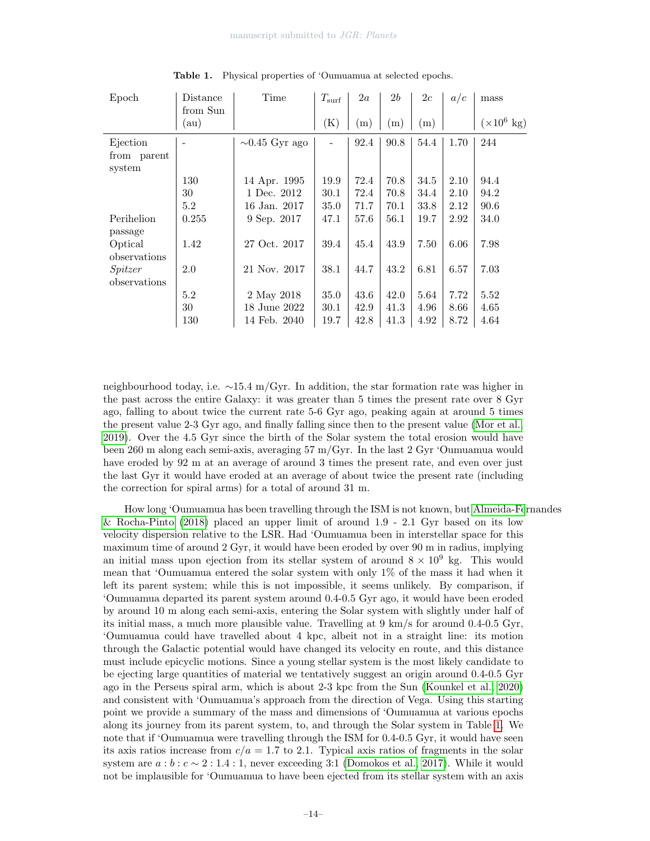| Epoch        | Distance | Time                | $T_{\rm surf}$ | 2a   | 2b   | 2c   | a/c  | mass                       |  |  |
|--------------|----------|---------------------|----------------|------|------|------|------|----------------------------|--|--|
|              | from Sun |                     |                |      |      |      |      |                            |  |  |
|              | au)      |                     | (K)            | (m)  | (m)  | (m)  |      | $(\times 10^6 \text{ kg})$ |  |  |
| Ejection     |          | $\sim 0.45$ Gyr ago |                | 92.4 | 90.8 | 54.4 | 1.70 | 244                        |  |  |
| from parent  |          |                     |                |      |      |      |      |                            |  |  |
| system       |          |                     |                |      |      |      |      |                            |  |  |
|              | 130      | 14 Apr. 1995        | 19.9           | 72.4 | 70.8 | 34.5 | 2.10 | 94.4                       |  |  |
|              | 30       | 1 Dec. 2012         | 30.1           | 72.4 | 70.8 | 34.4 | 2.10 | 94.2                       |  |  |
|              | 5.2      | 16 Jan. 2017        | 35.0           | 71.7 | 70.1 | 33.8 | 2.12 | 90.6                       |  |  |
| Perihelion   | 0.255    | 9 Sep. 2017         | 47.1           | 57.6 | 56.1 | 19.7 | 2.92 | 34.0                       |  |  |
| passage      |          |                     |                |      |      |      |      |                            |  |  |
| Optical      | 1.42     | 27 Oct. 2017        | 39.4           | 45.4 | 43.9 | 7.50 | 6.06 | 7.98                       |  |  |
| observations |          |                     |                |      |      |      |      |                            |  |  |
| Spitzer      | $2.0\,$  | 21 Nov. 2017        | 38.1           | 44.7 | 43.2 | 6.81 | 6.57 | 7.03                       |  |  |
| observations |          |                     |                |      |      |      |      |                            |  |  |
|              | 5.2      | 2 May 2018          | 35.0           | 43.6 | 42.0 | 5.64 | 7.72 | 5.52                       |  |  |
|              | 30       | 18 June 2022        | 30.1           | 42.9 | 41.3 | 4.96 | 8.66 | 4.65                       |  |  |
|              | 130      | 14 Feb. 2040        | 19.7           | 42.8 | 41.3 | 4.92 | 8.72 | 4.64                       |  |  |

<span id="page-13-0"></span>Table 1. Physical properties of 'Oumuamua at selected epochs.

neighbourhood today, i.e. ∼15.4 m/Gyr. In addition, the star formation rate was higher in the past across the entire Galaxy: it was greater than 5 times the present rate over 8 Gyr ago, falling to about twice the current rate 5-6 Gyr ago, peaking again at around 5 times the present value 2-3 Gyr ago, and finally falling since then to the present value [\(Mor et al.,](#page-20-11) [2019\)](#page-20-11). Over the 4.5 Gyr since the birth of the Solar system the total erosion would have been 260 m along each semi-axis, averaging 57 m/Gyr. In the last 2 Gyr 'Oumuamua would have eroded by 92 m at an average of around 3 times the present rate, and even over just the last Gyr it would have eroded at an average of about twice the present rate (including the correction for spiral arms) for a total of around 31 m.

How long 'Oumuamua has been travelling through the ISM is not known, but [Almeida-Fe](#page-16-8)rnandes [& Rocha-Pinto](#page-16-8) [\(2018\)](#page-16-8) placed an upper limit of around 1.9 - 2.1 Gyr based on its low velocity dispersion relative to the LSR. Had 'Oumuamua been in interstellar space for this maximum time of around 2 Gyr, it would have been eroded by over 90 m in radius, implying an initial mass upon ejection from its stellar system of around  $8 \times 10^9$  kg. This would mean that 'Oumuamua entered the solar system with only 1% of the mass it had when it left its parent system; while this is not impossible, it seems unlikely. By comparison, if 'Oumuamua departed its parent system around 0.4-0.5 Gyr ago, it would have been eroded by around 10 m along each semi-axis, entering the Solar system with slightly under half of its initial mass, a much more plausible value. Travelling at 9 km/s for around 0.4-0.5 Gyr, 'Oumuamua could have travelled about 4 kpc, albeit not in a straight line: its motion through the Galactic potential would have changed its velocity en route, and this distance must include epicyclic motions. Since a young stellar system is the most likely candidate to be ejecting large quantities of material we tentatively suggest an origin around 0.4-0.5 Gyr ago in the Perseus spiral arm, which is about 2-3 kpc from the Sun [\(Kounkel et al., 2020\)](#page-19-9) and consistent with 'Oumuamua's approach from the direction of Vega. Using this starting point we provide a summary of the mass and dimensions of 'Oumuamua at various epochs along its journey from its parent system, to, and through the Solar system in Table [1.](#page-13-0) We note that if 'Oumuamua were travelling through the ISM for 0.4-0.5 Gyr, it would have seen its axis ratios increase from  $c/a = 1.7$  to 2.1. Typical axis ratios of fragments in the solar system are  $a:b:c \sim 2:1.4:1$ , never exceeding 3:1 [\(Domokos et al., 2017\)](#page-18-9). While it would not be implausible for 'Oumuamua to have been ejected from its stellar system with an axis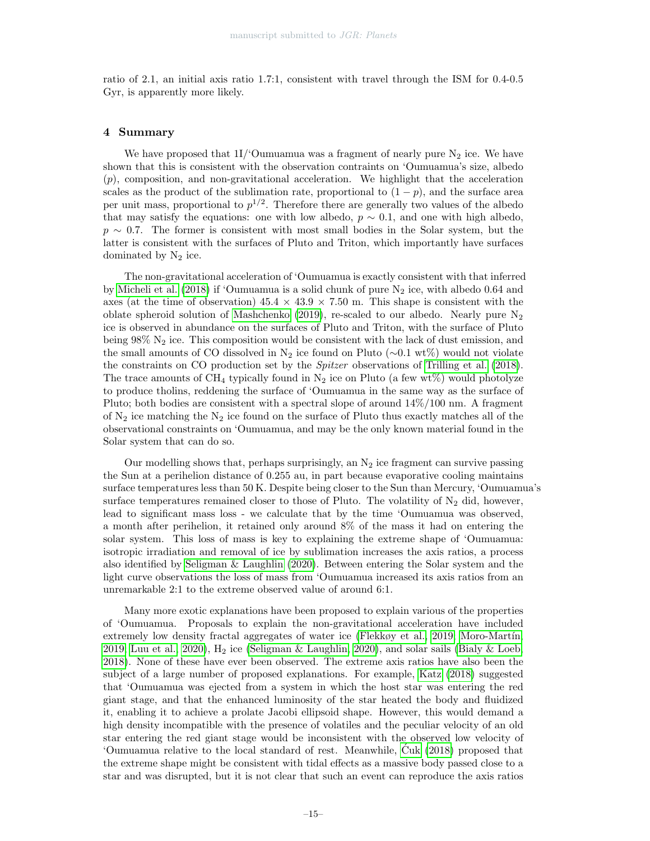ratio of 2.1, an initial axis ratio 1.7:1, consistent with travel through the ISM for 0.4-0.5 Gyr, is apparently more likely.

# 4 Summary

We have proposed that  $11/6$ umuamua was a fragment of nearly pure  $N_2$  ice. We have shown that this is consistent with the observation contraints on 'Oumuamua's size, albedo  $(p)$ , composition, and non-gravitational acceleration. We highlight that the acceleration scales as the product of the sublimation rate, proportional to  $(1 - p)$ , and the surface area per unit mass, proportional to  $p^{1/2}$ . Therefore there are generally two values of the albedo that may satisfy the equations: one with low albedo,  $p \sim 0.1$ , and one with high albedo,  $p \sim 0.7$ . The former is consistent with most small bodies in the Solar system, but the latter is consistent with the surfaces of Pluto and Triton, which importantly have surfaces dominated by  $N_2$  ice.

The non-gravitational acceleration of 'Oumuamua is exactly consistent with that inferred by [Micheli et al.](#page-20-4) [\(2018\)](#page-20-4) if 'Oumuamua is a solid chunk of pure  $N_2$  ice, with albedo 0.64 and axes (at the time of observation)  $45.4 \times 43.9 \times 7.50$  m. This shape is consistent with the oblate spheroid solution of [Mashchenko](#page-20-2) [\(2019\)](#page-20-2), re-scaled to our albedo. Nearly pure  $N_2$ ice is observed in abundance on the surfaces of Pluto and Triton, with the surface of Pluto being  $98\%$  N<sub>2</sub> ice. This composition would be consistent with the lack of dust emission, and the small amounts of CO dissolved in N<sub>2</sub> ice found on Pluto (∼0.1 wt%) would not violate the constraints on CO production set by the Spitzer observations of [Trilling et al.](#page-22-0) [\(2018\)](#page-22-0). The trace amounts of CH<sub>4</sub> typically found in N<sub>2</sub> ice on Pluto (a few wt%) would photolyze to produce tholins, reddening the surface of 'Oumuamua in the same way as the surface of Pluto; both bodies are consistent with a spectral slope of around 14%/100 nm. A fragment of  $N_2$  ice matching the  $N_2$  ice found on the surface of Pluto thus exactly matches all of the observational constraints on 'Oumuamua, and may be the only known material found in the Solar system that can do so.

Our modelling shows that, perhaps surprisingly, an  $N_2$  ice fragment can survive passing the Sun at a perihelion distance of 0.255 au, in part because evaporative cooling maintains surface temperatures less than 50 K. Despite being closer to the Sun than Mercury, 'Oumuamua's surface temperatures remained closer to those of Pluto. The volatility of  $N_2$  did, however, lead to significant mass loss - we calculate that by the time 'Oumuamua was observed, a month after perihelion, it retained only around 8% of the mass it had on entering the solar system. This loss of mass is key to explaining the extreme shape of 'Oumuamua: isotropic irradiation and removal of ice by sublimation increases the axis ratios, a process also identified by [Seligman & Laughlin](#page-21-2) [\(2020\)](#page-21-2). Between entering the Solar system and the light curve observations the loss of mass from 'Oumuamua increased its axis ratios from an unremarkable 2:1 to the extreme observed value of around 6:1.

Many more exotic explanations have been proposed to explain various of the properties of 'Oumuamua. Proposals to explain the non-gravitational acceleration have included extremely low density fractal aggregates of water ice [\(Flekkøy et al., 2019;](#page-18-13) Moro-Martín, [2019;](#page-20-12) [Luu et al., 2020\)](#page-20-13),  $H_2$  ice [\(Seligman & Laughlin, 2020\)](#page-21-2), and solar sails [\(Bialy & Loeb,](#page-16-0) [2018\)](#page-16-0). None of these have ever been observed. The extreme axis ratios have also been the subject of a large number of proposed explanations. For example, [Katz](#page-19-10) [\(2018\)](#page-19-10) suggested that 'Oumuamua was ejected from a system in which the host star was entering the red giant stage, and that the enhanced luminosity of the star heated the body and fluidized it, enabling it to achieve a prolate Jacobi ellipsoid shape. However, this would demand a high density incompatible with the presence of volatiles and the peculiar velocity of an old star entering the red giant stage would be inconsistent with the observed low velocity of 'Oumuamua relative to the local standard of rest. Meanwhile, [Cuk](#page-18-3) [\(2018\)](#page-18-3) proposed that ´ the extreme shape might be consistent with tidal effects as a massive body passed close to a star and was disrupted, but it is not clear that such an event can reproduce the axis ratios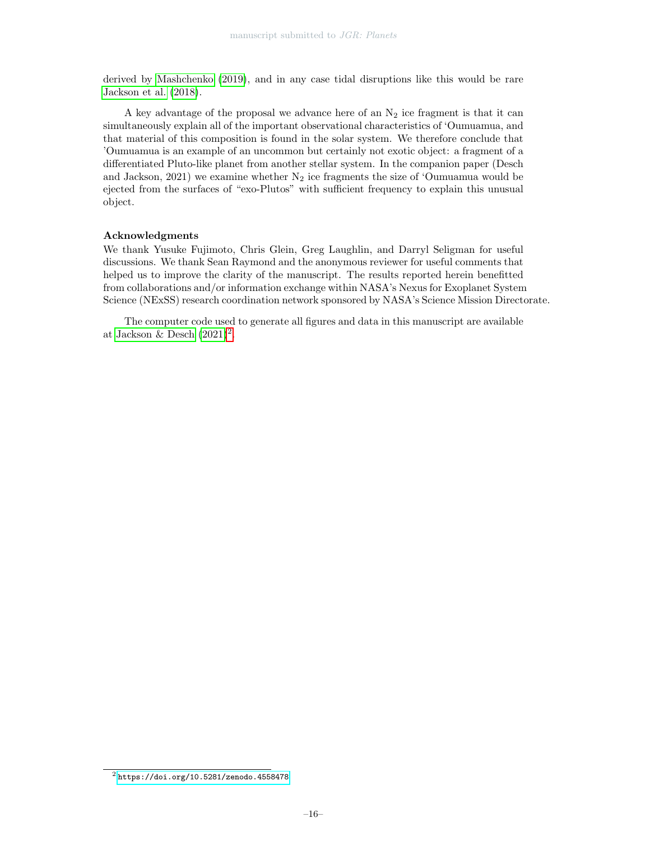derived by [Mashchenko](#page-20-2) [\(2019\)](#page-20-2), and in any case tidal disruptions like this would be rare [Jackson et al.](#page-19-2) [\(2018\)](#page-19-2).

A key advantage of the proposal we advance here of an  $N_2$  ice fragment is that it can simultaneously explain all of the important observational characteristics of 'Oumuamua, and that material of this composition is found in the solar system. We therefore conclude that 'Oumuamua is an example of an uncommon but certainly not exotic object: a fragment of a differentiated Pluto-like planet from another stellar system. In the companion paper (Desch and Jackson, 2021) we examine whether  $N_2$  ice fragments the size of 'Oumuamua would be ejected from the surfaces of "exo-Plutos" with sufficient frequency to explain this unusual object.

# Acknowledgments

We thank Yusuke Fujimoto, Chris Glein, Greg Laughlin, and Darryl Seligman for useful discussions. We thank Sean Raymond and the anonymous reviewer for useful comments that helped us to improve the clarity of the manuscript. The results reported herein benefitted from collaborations and/or information exchange within NASA's Nexus for Exoplanet System Science (NExSS) research coordination network sponsored by NASA's Science Mission Directorate.

The computer code used to generate all figures and data in this manuscript are available at [Jackson & Desch](#page-19-11)  $(2021)^2$  $(2021)^2$  $(2021)^2$ .

<span id="page-15-0"></span><sup>2</sup> <https://doi.org/10.5281/zenodo.4558478>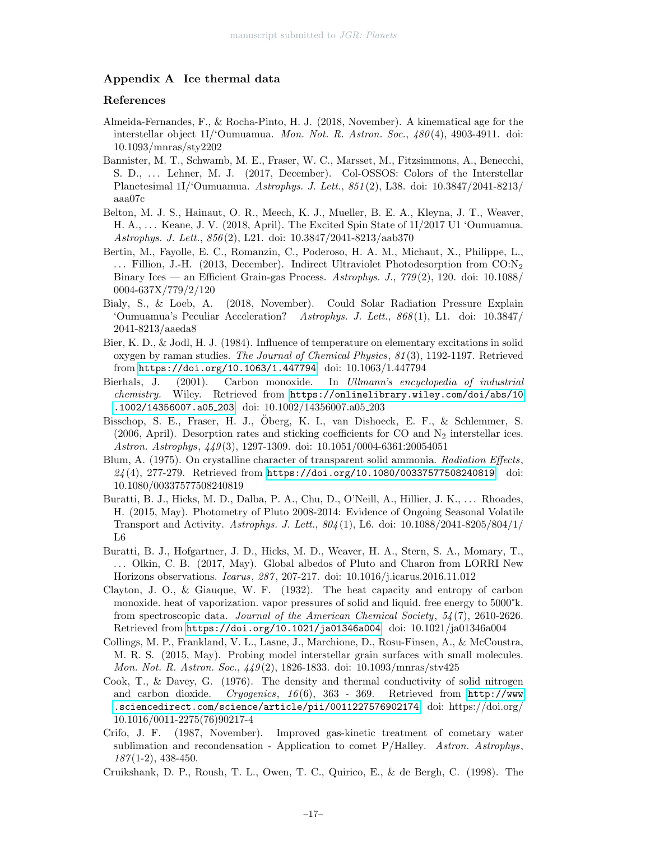# Appendix A Ice thermal data

# References

- <span id="page-16-8"></span>Almeida-Fernandes, F., & Rocha-Pinto, H. J. (2018, November). A kinematical age for the interstellar object 1I/'Oumuamua. Mon. Not. R. Astron. Soc., 480 (4), 4903-4911. doi: 10.1093/mnras/sty2202
- <span id="page-16-6"></span>Bannister, M. T., Schwamb, M. E., Fraser, W. C., Marsset, M., Fitzsimmons, A., Benecchi, S. D., ... Lehner, M. J. (2017, December). Col-OSSOS: Colors of the Interstellar Planetesimal 1I/'Oumuamua. Astrophys. J. Lett., 851 (2), L38. doi: 10.3847/2041-8213/ aaa07c
- <span id="page-16-1"></span>Belton, M. J. S., Hainaut, O. R., Meech, K. J., Mueller, B. E. A., Kleyna, J. T., Weaver, H. A., . . . Keane, J. V. (2018, April). The Excited Spin State of 1I/2017 U1 'Oumuamua. Astrophys. J. Lett., 856 (2), L21. doi: 10.3847/2041-8213/aab370
- <span id="page-16-7"></span>Bertin, M., Fayolle, E. C., Romanzin, C., Poderoso, H. A. M., Michaut, X., Philippe, L.,  $\ldots$  Fillion, J.-H. (2013, December). Indirect Ultraviolet Photodesorption from CO:N<sub>2</sub> Binary Ices — an Efficient Grain-gas Process. Astrophys. J.,  $779(2)$ , 120. doi: 10.1088/ 0004-637X/779/2/120
- <span id="page-16-0"></span>Bialy, S., & Loeb, A. (2018, November). Could Solar Radiation Pressure Explain 'Oumuamua's Peculiar Acceleration? Astrophys. J. Lett., 868 (1), L1. doi: 10.3847/ 2041-8213/aaeda8
- <span id="page-16-15"></span>Bier, K. D., & Jodl, H. J. (1984). Influence of temperature on elementary excitations in solid oxygen by raman studies. The Journal of Chemical Physics, 81 (3), 1192-1197. Retrieved from <https://doi.org/10.1063/1.447794> doi: 10.1063/1.447794
- <span id="page-16-11"></span>Bierhals, J. (2001). Carbon monoxide. In Ullmann's encyclopedia of industrial chemistry. Wiley. Retrieved from [https://onlinelibrary.wiley.com/doi/abs/10](https://onlinelibrary.wiley.com/doi/abs/10.1002/14356007.a05_203) [.1002/14356007.a05](https://onlinelibrary.wiley.com/doi/abs/10.1002/14356007.a05_203) 203 doi: 10.1002/14356007.a05 203
- <span id="page-16-14"></span>Bisschop, S. E., Fraser, H. J., Oberg, K. I., van Dishoeck, E. F., & Schlemmer, S. ¨ (2006, April). Desorption rates and sticking coefficients for CO and  $N_2$  interstellar ices. Astron. Astrophys, 449 (3), 1297-1309. doi: 10.1051/0004-6361:20054051
- <span id="page-16-12"></span>Blum, A. (1975). On crystalline character of transparent solid ammonia. Radiation Effects, 24 (4), 277-279. Retrieved from <https://doi.org/10.1080/00337577508240819> doi: 10.1080/00337577508240819
- <span id="page-16-5"></span>Buratti, B. J., Hicks, M. D., Dalba, P. A., Chu, D., O'Neill, A., Hillier, J. K., . . . Rhoades, H. (2015, May). Photometry of Pluto 2008-2014: Evidence of Ongoing Seasonal Volatile Transport and Activity. Astrophys. J. Lett., 804 (1), L6. doi: 10.1088/2041-8205/804/1/ L6
- <span id="page-16-4"></span>Buratti, B. J., Hofgartner, J. D., Hicks, M. D., Weaver, H. A., Stern, S. A., Momary, T., . . . Olkin, C. B. (2017, May). Global albedos of Pluto and Charon from LORRI New Horizons observations. Icarus, 287 , 207-217. doi: 10.1016/j.icarus.2016.11.012
- <span id="page-16-13"></span>Clayton, J. O., & Giauque, W. F. (1932). The heat capacity and entropy of carbon monoxide. heat of vaporization. vapor pressures of solid and liquid. free energy to 5000°k. from spectroscopic data. Journal of the American Chemical Society, 54 (7), 2610-2626. Retrieved from <https://doi.org/10.1021/ja01346a004> doi: 10.1021/ja01346a004
- <span id="page-16-9"></span>Collings, M. P., Frankland, V. L., Lasne, J., Marchione, D., Rosu-Finsen, A., & McCoustra, M. R. S. (2015, May). Probing model interstellar grain surfaces with small molecules. Mon. Not. R. Astron. Soc., 449 (2), 1826-1833. doi: 10.1093/mnras/stv425
- <span id="page-16-10"></span>Cook, T., & Davey, G. (1976). The density and thermal conductivity of solid nitrogen and carbon dioxide. Cryogenics,  $16(6)$ ,  $363 - 369$ . Retrieved from [http://www](http://www.sciencedirect.com/science/article/pii/0011227576902174) [.sciencedirect.com/science/article/pii/0011227576902174](http://www.sciencedirect.com/science/article/pii/0011227576902174) doi: https://doi.org/ 10.1016/0011-2275(76)90217-4
- <span id="page-16-3"></span>Crifo, J. F. (1987, November). Improved gas-kinetic treatment of cometary water sublimation and recondensation - Application to comet P/Halley. Astron. Astrophys,  $187(1-2), 438-450.$
- <span id="page-16-2"></span>Cruikshank, D. P., Roush, T. L., Owen, T. C., Quirico, E., & de Bergh, C. (1998). The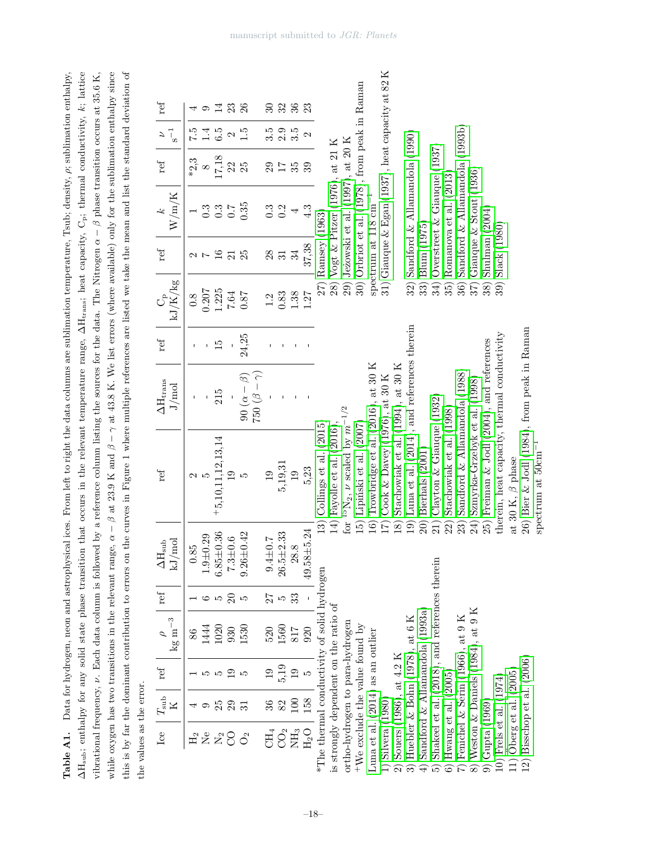|                          | Table A1. Data for hydrogen, neon and astrophysical ices. From left to right the data columns are sublimation temperature, Tsub; density, $\rho$ ; sublimation enthalpy,                     |
|--------------------------|----------------------------------------------------------------------------------------------------------------------------------------------------------------------------------------------|
|                          | $\Delta H_{sub}$ ; enthalpy for any solid state phase transition that occurs in the relevant temperature range, $\Delta H_{trans}$ ; heat capacity, $C_p$ ; thermal conductivity, k; lattice |
|                          | vibrational frequency, $\nu$ . Each data column is followed by a reference column listing the sources for the data. The Nitrogen $\alpha - \beta$ phase transition occurs at 35.6 K,         |
|                          | while oxygen has two transitions in the relevant range, $\alpha - \beta$ at 23.9 K and $\beta - \gamma$ at 43.8 K. We list errors (where available) only for the sublimation enthalpy since  |
|                          | this is by far the dominant contribution to errors on the curves in Figure 1 where multiple references are listed we take the mean and list the standard deviation of                        |
| the values as the error. |                                                                                                                                                                                              |

| ref                                        |              |                  | $\overline{14}$     | 23              | 26              |                        | ೫                | 32               | 36             | 23               |                                             |                                       |                                              |                                               |                                      |                                                  |                                   |                                               |                                |                                               |                          |                                    |                                    |                                              |                                              |                        |                                            |                                 |  |
|--------------------------------------------|--------------|------------------|---------------------|-----------------|-----------------|------------------------|------------------|------------------|----------------|------------------|---------------------------------------------|---------------------------------------|----------------------------------------------|-----------------------------------------------|--------------------------------------|--------------------------------------------------|-----------------------------------|-----------------------------------------------|--------------------------------|-----------------------------------------------|--------------------------|------------------------------------|------------------------------------|----------------------------------------------|----------------------------------------------|------------------------|--------------------------------------------|---------------------------------|--|
| $\frac{1}{\sqrt{2}}$                       | 7.5          |                  | 6.5                 | $\mathcal{C}$   | 1.5             |                        | $3.\overline{5}$ | $2.\overline{3}$ |                | $\mathcal{C}$    |                                             |                                       |                                              |                                               |                                      |                                                  |                                   |                                               |                                |                                               |                          |                                    |                                    |                                              |                                              |                        |                                            |                                 |  |
| $\operatorname{ref}$                       | $*2,3$       | $\infty$         | 17,18               | 22              | 25              |                        | 29               | 17               | 35             | 39               |                                             |                                       |                                              |                                               |                                      |                                                  |                                   |                                               |                                |                                               |                          |                                    |                                    |                                              |                                              |                        |                                            |                                 |  |
| W/m/K                                      |              | $0.\overline{3}$ | $0.\overline{3}$    | 0.7             | 0.35            |                        | $0.\overline{3}$ | 0.2              |                | 4.3              |                                             | Vogt & Pitzer (1976), at 21 K         | 29) Jeżowski et al. (1997), at 20 K          | 30) Orbriot et al. (1978), from peak in Raman | spectrum at $118 \text{ cm}^{-1}$    | 31) Giauque & Egan (1937), heat capacity at 82 K |                                   | Sandford $\&$ Allamandola (1990)              |                                | Overstreet $&$ Giauque (1937)                 | Romanova et al. (2013)   | Sandford $\&$ Allamandola (1993b)  | Giauque $\&$ Stout (1936)          |                                              |                                              |                        |                                            |                                 |  |
| ref                                        |              |                  | 16                  | $\overline{21}$ | 25              |                        | $28\,$           | 31               | 34             | 37,38            | Ramsey (1963)                               |                                       |                                              |                                               |                                      |                                                  |                                   |                                               | Blum (1975)                    |                                               |                          |                                    |                                    | Shulman $(2004)$                             | Slack (1980)                                 |                        |                                            |                                 |  |
| $\mathbf{kJ}/\dot{\mathbf{K}}/\mathbf{kg}$ | 8.0          | 0.207            | 1.225               | 7.64            | 0.87            |                        | 1.2              | 0.83             | 1.38           | 1.27             |                                             | (8)                                   |                                              |                                               |                                      |                                                  |                                   | 32)                                           | 33)                            | 34)                                           | 35)                      | 36)                                | 37)                                | 38)                                          | 39)                                          |                        |                                            |                                 |  |
| ref                                        |              |                  | $\frac{15}{2}$      |                 | 24,25           |                        |                  |                  |                |                  |                                             |                                       |                                              |                                               |                                      |                                                  |                                   |                                               |                                |                                               |                          |                                    |                                    |                                              |                                              |                        |                                            |                                 |  |
| $\Delta H_{\rm trans}$<br>J/mol            |              |                  | 215                 |                 | $(3-\beta)$     | $\gamma = \beta$ ) 022 |                  |                  |                |                  |                                             |                                       |                                              |                                               |                                      |                                                  |                                   |                                               |                                |                                               |                          |                                    |                                    |                                              |                                              |                        |                                            |                                 |  |
| ref                                        | 2            |                  | $+5,10,11,12,13,14$ |                 | LC.             |                        | $\overline{19}$  | 5,19,31          | $\overline{0}$ | 5,23             | Collings et al. $(2015)$                    | 14) Fayolle et al. (2016),            | $^{15}{\rm N}_2,$ $\nu$ scaled by $m^{-1/2}$ | Lipiński et al. (2007)                        | Trowbridge et al. $(2016)$ , at 30 K | Cook & Davey (1976), at 30 K                     | Stachowiak et al. (1994), at 30 K | Luna et al. $(2014)$ , and references therein | Bierhals (2001)                | Clayton $\&$ Giauque (1932)                   | Stachowiak et al. (1998) | Sandford & Allamandola (1988)      | Szmyrka-Grzebyk et al. (1998)      | 25) Freiman $\&$ Jodl (2004), and references | therein, heat capacity, thermal conductivity | at 30 K, $\beta$ phase | 26) Bier & Jodl (1984), from peak in Raman | spectrum at $50 \text{cm}^{-1}$ |  |
| $\Delta H_{\rm sub}$<br>kJ/mol             | 0.85         | $1.9 + 0.29$     | $6.85 + 0.36$       | $7.3 \pm 0.6$   | $9.26 + 0.42$   |                        | $9.4 \pm 0.7$    | $26.5 + 2.33$    | 28.8           | 24<br>49.58±5.   | 13)                                         |                                       | $\frac{1}{2}$                                | 15)                                           | $\widehat{16}$                       |                                                  | $\overline{18}$                   | $\widehat{=}$                                 | $\widehat{20}$                 |                                               | 22)                      | 23)                                | 24)                                |                                              |                                              |                        |                                            |                                 |  |
| $\operatorname{ref}$                       |              |                  | IJ                  | $\Omega$        |                 |                        | 27               | IJ               | 33             |                  |                                             |                                       |                                              |                                               |                                      |                                                  |                                   |                                               |                                |                                               |                          |                                    |                                    |                                              |                                              |                        |                                            |                                 |  |
| $\rm kg~m^{-3}$<br>$\mathcal{L}$           | 86           | 144              | 1020                | 930             | 1530            |                        | 520              | 1560             | $817\,$        | 920              |                                             |                                       |                                              |                                               |                                      |                                                  |                                   |                                               |                                |                                               |                          |                                    |                                    |                                              |                                              |                        |                                            |                                 |  |
| ref                                        |              |                  |                     | ⊵               |                 |                        | $\overline{0}$   | 5,19             | 19             |                  |                                             |                                       |                                              |                                               |                                      |                                                  |                                   |                                               |                                |                                               |                          |                                    |                                    |                                              |                                              |                        |                                            |                                 |  |
| $T_{\rm sub}$<br>К                         |              |                  | 25                  | 29              | ಸ               |                        | 36               | 82               | 100            | 158              |                                             |                                       |                                              |                                               |                                      |                                                  |                                   |                                               |                                |                                               |                          |                                    |                                    |                                              |                                              |                        |                                            |                                 |  |
| Lee                                        | $\rm{H}_{2}$ | Σe               | $\rm N_2$           | 8               | $\mathcal{O}_2$ |                        | $CH_4$           | $\rm CO_2$       | $\rm{NH_3}$    | H <sub>2</sub> O | *The thermal conductivity of solid hydrogen | is strongly dependent on the ratio of | ortho-hydrogen to para-hydrogen              | $+$ We exclude the value found by             | Luna et al. (2014) as an outlier     | $1)$ Silvera $(1980)$                            | 2) Souers (1986), at $4.2$ K      | 3) Huebler & Bohn (1978), at 6 K              | Sandford & Allamandola (1993a) | Shakeel et al. (2018), and references therein | 6) Hwang et al. $(2005)$ | Fenichel & Serin $(1966)$ , at 9 K | 8) Weston & Daniels (1984), at 9 K | $9)$ Gupta $(1969)$                          | 10) Frels et al. (1974)                      | 11) Öberg et al. (2005 | 12) Bisschop et al. $(2006)$               |                                 |  |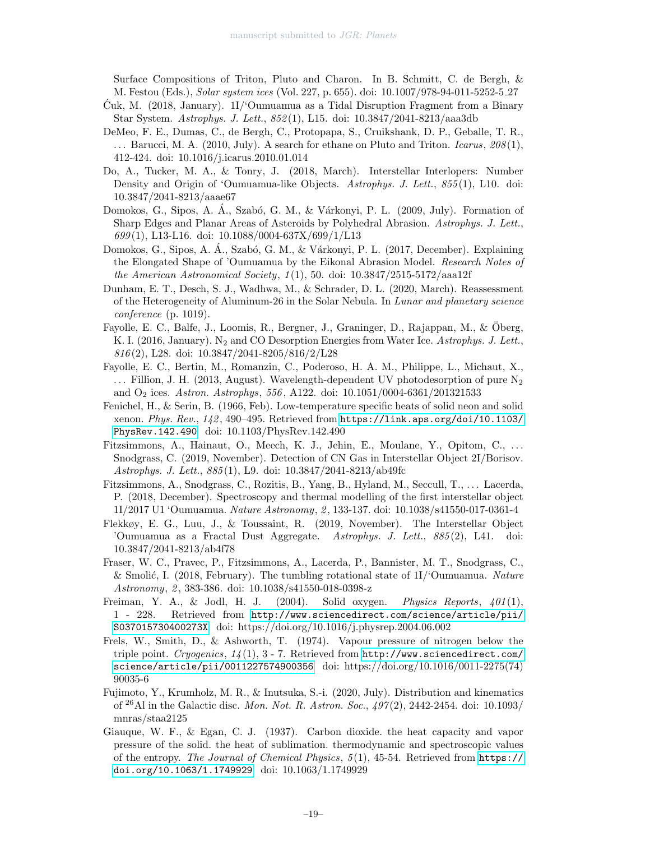Surface Compositions of Triton, Pluto and Charon. In B. Schmitt, C. de Bergh, & M. Festou (Eds.), Solar system ices (Vol. 227, p. 655). doi: 10.1007/978-94-011-5252-5 27

- <span id="page-18-3"></span>Cuk, M. (2018, January). 1I/'Oumuamua as a Tidal Disruption Fragment from a Binary ´ Star System. Astrophys. J. Lett., 852 (1), L15. doi: 10.3847/2041-8213/aaa3db
- <span id="page-18-8"></span>DeMeo, F. E., Dumas, C., de Bergh, C., Protopapa, S., Cruikshank, D. P., Geballe, T. R., ... Barucci, M. A. (2010, July). A search for ethane on Pluto and Triton. *Icarus*,  $208(1)$ , 412-424. doi: 10.1016/j.icarus.2010.01.014
- <span id="page-18-2"></span>Do, A., Tucker, M. A., & Tonry, J. (2018, March). Interstellar Interlopers: Number Density and Origin of 'Oumuamua-like Objects. Astrophys. J. Lett., 855(1), L10. doi: 10.3847/2041-8213/aaae67
- <span id="page-18-1"></span>Domokos, G., Sipos, A. Á., Szabó, G. M., & Várkonyi, P. L. (2009, July). Formation of Sharp Edges and Planar Areas of Asteroids by Polyhedral Abrasion. Astrophys. J. Lett.,  $699(1)$ , L13-L16. doi: 10.1088/0004-637X/699/1/L13
- <span id="page-18-9"></span>Domokos, G., Sipos, A. Á., Szabó, G. M., & Várkonyi, P. L. (2017, December). Explaining the Elongated Shape of 'Oumuamua by the Eikonal Abrasion Model. Research Notes of the American Astronomical Society,  $1(1)$ , 50. doi: 10.3847/2515-5172/aaa12f
- <span id="page-18-11"></span>Dunham, E. T., Desch, S. J., Wadhwa, M., & Schrader, D. L. (2020, March). Reassessment of the Heterogeneity of Aluminum-26 in the Solar Nebula. In Lunar and planetary science conference (p. 1019).
- <span id="page-18-4"></span>Fayolle, E. C., Balfe, J., Loomis, R., Bergner, J., Graninger, D., Rajappan, M., & Oberg, K. I. (2016, January). N<sub>2</sub> and CO Desorption Energies from Water Ice. Astrophys. J. Lett.,  $816(2)$ , L28. doi: 10.3847/2041-8205/816/2/L28
- <span id="page-18-10"></span>Fayolle, E. C., Bertin, M., Romanzin, C., Poderoso, H. A. M., Philippe, L., Michaut, X., ... Fillion, J. H. (2013, August). Wavelength-dependent UV photodesorption of pure  $N_2$ and O<sup>2</sup> ices. Astron. Astrophys, 556 , A122. doi: 10.1051/0004-6361/201321533
- <span id="page-18-15"></span>Fenichel, H., & Serin, B. (1966, Feb). Low-temperature specific heats of solid neon and solid xenon. Phys. Rev., 142 , 490–495. Retrieved from [https://link.aps.org/doi/10.1103/](https://link.aps.org/doi/10.1103/PhysRev.142.490) [PhysRev.142.490](https://link.aps.org/doi/10.1103/PhysRev.142.490) doi: 10.1103/PhysRev.142.490
- <span id="page-18-0"></span>Fitzsimmons, A., Hainaut, O., Meech, K. J., Jehin, E., Moulane, Y., Opitom, C., . . . Snodgrass, C. (2019, November). Detection of CN Gas in Interstellar Object 2I/Borisov. Astrophys. J. Lett., 885 (1), L9. doi: 10.3847/2041-8213/ab49fc
- <span id="page-18-6"></span>Fitzsimmons, A., Snodgrass, C., Rozitis, B., Yang, B., Hyland, M., Seccull, T., . . . Lacerda, P. (2018, December). Spectroscopy and thermal modelling of the first interstellar object 1I/2017 U1 'Oumuamua. Nature Astronomy, 2 , 133-137. doi: 10.1038/s41550-017-0361-4
- <span id="page-18-13"></span>Flekkøy, E. G., Luu, J., & Toussaint, R. (2019, November). The Interstellar Object 'Oumuamua as a Fractal Dust Aggregate. Astrophys. J. Lett., 885 (2), L41. doi: 10.3847/2041-8213/ab4f78
- <span id="page-18-5"></span>Fraser, W. C., Pravec, P., Fitzsimmons, A., Lacerda, P., Bannister, M. T., Snodgrass, C., & Smolić, I. (2018, February). The tumbling rotational state of  $11$ <sup>'</sup>Oumuamua. Nature Astronomy, 2, 383-386. doi: 10.1038/s41550-018-0398-z
- <span id="page-18-16"></span>Freiman, Y. A., & Jodl, H. J.  $(2004)$ . Solid oxygen. *Physics Reports*,  $401(1)$ , 1 - 228. Retrieved from [http://www.sciencedirect.com/science/article/pii/](http://www.sciencedirect.com/science/article/pii/S037015730400273X) [S037015730400273X](http://www.sciencedirect.com/science/article/pii/S037015730400273X) doi: https://doi.org/10.1016/j.physrep.2004.06.002
- <span id="page-18-7"></span>Frels, W., Smith, D., & Ashworth, T. (1974). Vapour pressure of nitrogen below the triple point. Cryogenics,  $14(1)$ , 3 - 7. Retrieved from  $http://www.sciencedirect.com/$ [science/article/pii/0011227574900356](http://www.sciencedirect.com/science/article/pii/0011227574900356) doi: https://doi.org/10.1016/0011-2275(74) 90035-6
- <span id="page-18-12"></span>Fujimoto, Y., Krumholz, M. R., & Inutsuka, S.-i. (2020, July). Distribution and kinematics of <sup>26</sup>Al in the Galactic disc. Mon. Not. R. Astron. Soc.,  $497(2)$ , 2442-2454. doi: 10.1093/ mnras/staa2125
- <span id="page-18-14"></span>Giauque, W. F., & Egan, C. J. (1937). Carbon dioxide. the heat capacity and vapor pressure of the solid. the heat of sublimation. thermodynamic and spectroscopic values of the entropy. The Journal of Chemical Physics, 5 (1), 45-54. Retrieved from [https://](https://doi.org/10.1063/1.1749929) [doi.org/10.1063/1.1749929](https://doi.org/10.1063/1.1749929) doi: 10.1063/1.1749929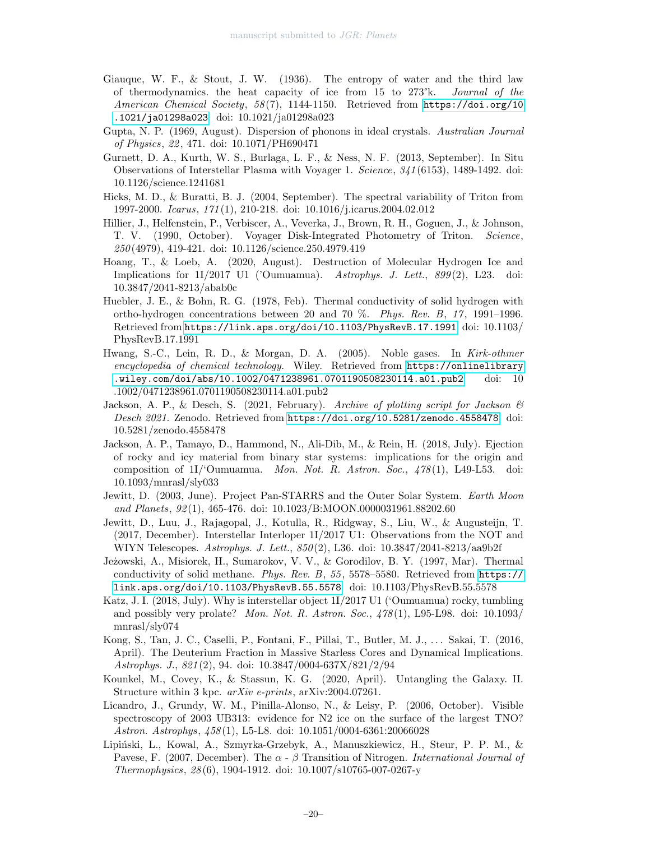- <span id="page-19-16"></span>Giauque, W. F., & Stout, J. W. (1936). The entropy of water and the third law of thermodynamics. the heat capacity of ice from 15 to 273°k. Journal of the American Chemical Society, 58 (7), 1144-1150. Retrieved from [https://doi.org/10](https://doi.org/10.1021/ja01298a023) [.1021/ja01298a023](https://doi.org/10.1021/ja01298a023) doi: 10.1021/ja01298a023
- <span id="page-19-17"></span>Gupta, N. P. (1969, August). Dispersion of phonons in ideal crystals. Australian Journal of Physics, 22 , 471. doi: 10.1071/PH690471
- <span id="page-19-8"></span>Gurnett, D. A., Kurth, W. S., Burlaga, L. F., & Ness, N. F. (2013, September). In Situ Observations of Interstellar Plasma with Voyager 1. Science, 341 (6153), 1489-1492. doi: 10.1126/science.1241681
- <span id="page-19-5"></span>Hicks, M. D., & Buratti, B. J. (2004, September). The spectral variability of Triton from 1997-2000. Icarus, 171 (1), 210-218. doi: 10.1016/j.icarus.2004.02.012
- <span id="page-19-6"></span>Hillier, J., Helfenstein, P., Verbiscer, A., Veverka, J., Brown, R. H., Goguen, J., & Johnson, T. V. (1990, October). Voyager Disk-Integrated Photometry of Triton. Science, 250 (4979), 419-421. doi: 10.1126/science.250.4979.419
- <span id="page-19-4"></span>Hoang, T., & Loeb, A. (2020, August). Destruction of Molecular Hydrogen Ice and Implications for 1I/2017 U1 ('Oumuamua). Astrophys. J. Lett., 899 (2), L23. doi: 10.3847/2041-8213/abab0c
- <span id="page-19-14"></span>Huebler, J. E., & Bohn, R. G. (1978, Feb). Thermal conductivity of solid hydrogen with ortho-hydrogen concentrations between 20 and 70 %. Phys. Rev. B, 17 , 1991–1996. Retrieved from <https://link.aps.org/doi/10.1103/PhysRevB.17.1991> doi: 10.1103/ PhysRevB.17.1991
- <span id="page-19-15"></span>Hwang, S.-C., Lein, R. D., & Morgan, D. A. (2005). Noble gases. In Kirk-othmer encyclopedia of chemical technology. Wiley. Retrieved from [https://onlinelibrary](https://onlinelibrary.wiley.com/doi/abs/10.1002/0471238961.0701190508230114.a01.pub2) [.wiley.com/doi/abs/10.1002/0471238961.0701190508230114.a01.pub2](https://onlinelibrary.wiley.com/doi/abs/10.1002/0471238961.0701190508230114.a01.pub2) doi: 10 .1002/0471238961.0701190508230114.a01.pub2
- <span id="page-19-11"></span>Jackson, A. P., & Desch, S. (2021, February). Archive of plotting script for Jackson  $\mathscr B$ Desch 2021. Zenodo. Retrieved from <https://doi.org/10.5281/zenodo.4558478> doi: 10.5281/zenodo.4558478
- <span id="page-19-2"></span>Jackson, A. P., Tamayo, D., Hammond, N., Ali-Dib, M., & Rein, H. (2018, July). Ejection of rocky and icy material from binary star systems: implications for the origin and composition of  $11$ <sup>'</sup>Oumuamua. *Mon. Not. R. Astron. Soc.*,  $478(1)$ , L49-L53. doi: 10.1093/mnrasl/sly033
- <span id="page-19-1"></span>Jewitt, D. (2003, June). Project Pan-STARRS and the Outer Solar System. Earth Moon and Planets, 92 (1), 465-476. doi: 10.1023/B:MOON.0000031961.88202.60
- <span id="page-19-0"></span>Jewitt, D., Luu, J., Rajagopal, J., Kotulla, R., Ridgway, S., Liu, W., & Augusteijn, T. (2017, December). Interstellar Interloper 1I/2017 U1: Observations from the NOT and WIYN Telescopes. Astrophys. J. Lett., 850 (2), L36. doi: 10.3847/2041-8213/aa9b2f
- <span id="page-19-12"></span>Jeżowski, A., Misiorek, H., Sumarokov, V. V., & Gorodilov, B. Y. (1997, Mar). Thermal conductivity of solid methane. Phys. Rev. B, 55 , 5578–5580. Retrieved from [https://](https://link.aps.org/doi/10.1103/PhysRevB.55.5578) [link.aps.org/doi/10.1103/PhysRevB.55.5578](https://link.aps.org/doi/10.1103/PhysRevB.55.5578) doi: 10.1103/PhysRevB.55.5578
- <span id="page-19-10"></span>Katz, J. I. (2018, July). Why is interstellar object 1I/2017 U1 ('Oumuamua) rocky, tumbling and possibly very prolate? Mon. Not. R. Astron. Soc., 478 (1), L95-L98. doi: 10.1093/ mnrasl/sly074
- <span id="page-19-3"></span>Kong, S., Tan, J. C., Caselli, P., Fontani, F., Pillai, T., Butler, M. J., . . . Sakai, T. (2016, April). The Deuterium Fraction in Massive Starless Cores and Dynamical Implications. Astrophys. J., 821 (2), 94. doi: 10.3847/0004-637X/821/2/94
- <span id="page-19-9"></span>Kounkel, M., Covey, K., & Stassun, K. G. (2020, April). Untangling the Galaxy. II. Structure within 3 kpc. arXiv e-prints, arXiv:2004.07261.
- <span id="page-19-7"></span>Licandro, J., Grundy, W. M., Pinilla-Alonso, N., & Leisy, P. (2006, October). Visible spectroscopy of 2003 UB313: evidence for N2 ice on the surface of the largest TNO? Astron. Astrophys, 458 (1), L5-L8. doi: 10.1051/0004-6361:20066028
- <span id="page-19-13"></span>Lipiński, L., Kowal, A., Szmyrka-Grzebyk, A., Manuszkiewicz, H., Steur, P. P. M., & Pavese, F. (2007, December). The  $\alpha$  -  $\beta$  Transition of Nitrogen. International Journal of Thermophysics, 28 (6), 1904-1912. doi: 10.1007/s10765-007-0267-y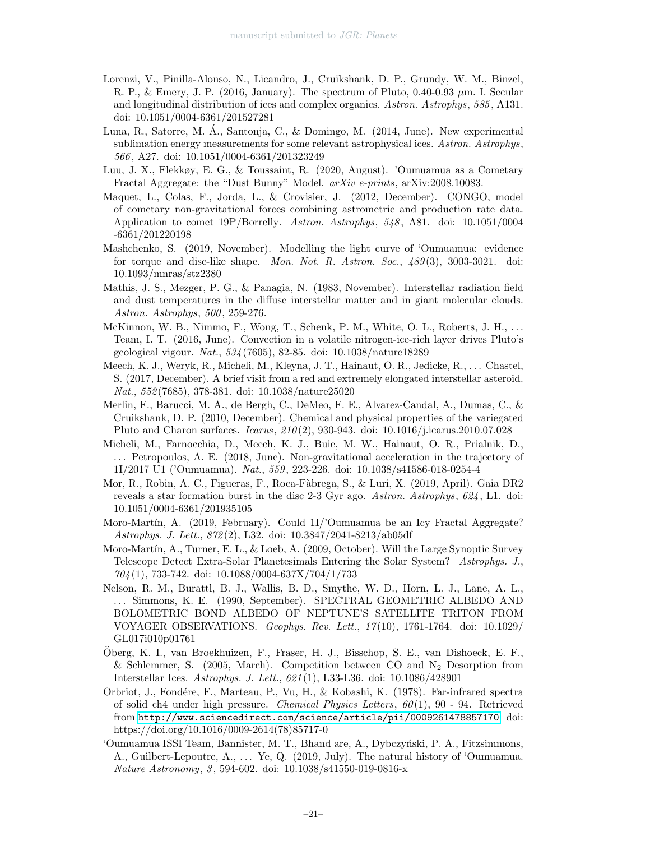- <span id="page-20-9"></span>Lorenzi, V., Pinilla-Alonso, N., Licandro, J., Cruikshank, D. P., Grundy, W. M., Binzel, R. P., & Emery, J. P. (2016, January). The spectrum of Pluto, 0.40-0.93 µm. I. Secular and longitudinal distribution of ices and complex organics. Astron. Astrophys, 585 , A131. doi: 10.1051/0004-6361/201527281
- <span id="page-20-15"></span>Luna, R., Satorre, M. A., Santonja, C., & Domingo, M. (2014, June). New experimental ´ sublimation energy measurements for some relevant astrophysical ices. Astron. Astrophys, 566 , A27. doi: 10.1051/0004-6361/201323249
- <span id="page-20-13"></span>Luu, J. X., Flekkøy, E. G., & Toussaint, R. (2020, August). 'Oumuamua as a Cometary Fractal Aggregate: the "Dust Bunny" Model. arXiv e-prints, arXiv:2008.10083.
- <span id="page-20-6"></span>Maquet, L., Colas, F., Jorda, L., & Crovisier, J. (2012, December). CONGO, model of cometary non-gravitational forces combining astrometric and production rate data. Application to comet 19P/Borrelly. Astron. Astrophys, 548 , A81. doi: 10.1051/0004 -6361/201220198
- <span id="page-20-2"></span>Mashchenko, S. (2019, November). Modelling the light curve of 'Oumuamua: evidence for torque and disc-like shape. Mon. Not. R. Astron. Soc., 489 (3), 3003-3021. doi: 10.1093/mnras/stz2380
- <span id="page-20-10"></span>Mathis, J. S., Mezger, P. G., & Panagia, N. (1983, November). Interstellar radiation field and dust temperatures in the diffuse interstellar matter and in giant molecular clouds. Astron. Astrophys, 500 , 259-276.
- <span id="page-20-5"></span>McKinnon, W. B., Nimmo, F., Wong, T., Schenk, P. M., White, O. L., Roberts, J. H., ... Team, I. T. (2016, June). Convection in a volatile nitrogen-ice-rich layer drives Pluto's geological vigour. Nat., 534 (7605), 82-85. doi: 10.1038/nature18289
- <span id="page-20-0"></span>Meech, K. J., Weryk, R., Micheli, M., Kleyna, J. T., Hainaut, O. R., Jedicke, R., . . . Chastel, S. (2017, December). A brief visit from a red and extremely elongated interstellar asteroid. Nat., 552 (7685), 378-381. doi: 10.1038/nature25020
- <span id="page-20-8"></span>Merlin, F., Barucci, M. A., de Bergh, C., DeMeo, F. E., Alvarez-Candal, A., Dumas, C., & Cruikshank, D. P. (2010, December). Chemical and physical properties of the variegated Pluto and Charon surfaces. Icarus, 210 (2), 930-943. doi: 10.1016/j.icarus.2010.07.028
- <span id="page-20-4"></span>Micheli, M., Farnocchia, D., Meech, K. J., Buie, M. W., Hainaut, O. R., Prialnik, D., . . . Petropoulos, A. E. (2018, June). Non-gravitational acceleration in the trajectory of 1I/2017 U1 ('Oumuamua). Nat., 559 , 223-226. doi: 10.1038/s41586-018-0254-4
- <span id="page-20-11"></span>Mor, R., Robin, A. C., Figueras, F., Roca-Fàbrega, S., & Luri, X. (2019, April). Gaia DR2 reveals a star formation burst in the disc 2-3 Gyr ago. Astron. Astrophys, 624 , L1. doi: 10.1051/0004-6361/201935105
- <span id="page-20-12"></span>Moro-Mart´ın, A. (2019, February). Could 1I/'Oumuamua be an Icy Fractal Aggregate? Astrophys. J. Lett., 872 (2), L32. doi: 10.3847/2041-8213/ab05df
- <span id="page-20-3"></span>Moro-Martín, A., Turner, E. L., & Loeb, A. (2009, October). Will the Large Synoptic Survey Telescope Detect Extra-Solar Planetesimals Entering the Solar System? Astrophys. J., 704 (1), 733-742. doi: 10.1088/0004-637X/704/1/733
- <span id="page-20-7"></span>Nelson, R. M., Burattl, B. J., Wallis, B. D., Smythe, W. D., Horn, L. J., Lane, A. L., . . . Simmons, K. E. (1990, September). SPECTRAL GEOMETRIC ALBEDO AND BOLOMETRIC BOND ALBEDO OF NEPTUNE'S SATELLITE TRITON FROM VOYAGER OBSERVATIONS. Geophys. Rev. Lett., 17 (10), 1761-1764. doi: 10.1029/ GL017i010p01761
- <span id="page-20-16"></span>Oberg, K. I., van Broekhuizen, F., Fraser, H. J., Bisschop, S. E., van Dishoeck, E. F., ¨ & Schlemmer, S. (2005, March). Competition between CO and  $N_2$  Desorption from Interstellar Ices. Astrophys. J. Lett., 621 (1), L33-L36. doi: 10.1086/428901
- <span id="page-20-14"></span>Orbriot, J., Fond´ere, F., Marteau, P., Vu, H., & Kobashi, K. (1978). Far-infrared spectra of solid ch4 under high pressure. Chemical Physics Letters,  $60(1)$ ,  $90 - 94$ . Retrieved from <http://www.sciencedirect.com/science/article/pii/0009261478857170> doi: https://doi.org/10.1016/0009-2614(78)85717-0
- <span id="page-20-1"></span>'Oumuamua ISSI Team, Bannister, M. T., Bhand are, A., Dybczyński, P. A., Fitzsimmons, A., Guilbert-Lepoutre, A., . . . Ye, Q. (2019, July). The natural history of 'Oumuamua. Nature Astronomy, 3, 594-602. doi: 10.1038/s41550-019-0816-x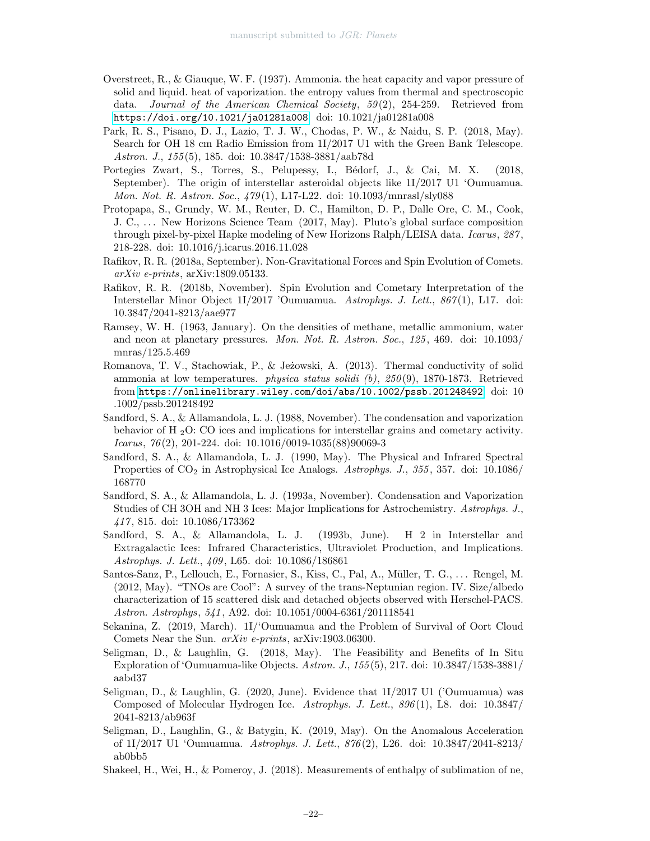- <span id="page-21-14"></span>Overstreet, R., & Giauque, W. F. (1937). Ammonia. the heat capacity and vapor pressure of solid and liquid. heat of vaporization. the entropy values from thermal and spectroscopic data. Journal of the American Chemical Society,  $59(2)$ , 254-259. Retrieved from <https://doi.org/10.1021/ja01281a008> doi: 10.1021/ja01281a008
- <span id="page-21-6"></span>Park, R. S., Pisano, D. J., Lazio, T. J. W., Chodas, P. W., & Naidu, S. P. (2018, May). Search for OH 18 cm Radio Emission from 1I/2017 U1 with the Green Bank Telescope. Astron. J., 155 (5), 185. doi: 10.3847/1538-3881/aab78d
- <span id="page-21-0"></span>Portegies Zwart, S., Torres, S., Pelupessy, I., Bédorf, J., & Cai, M. X. (2018, September). The origin of interstellar asteroidal objects like 1I/2017 U1 'Oumuamua. Mon. Not. R. Astron. Soc., 479 (1), L17-L22. doi: 10.1093/mnrasl/sly088
- <span id="page-21-3"></span>Protopapa, S., Grundy, W. M., Reuter, D. C., Hamilton, D. P., Dalle Ore, C. M., Cook, J. C., . . . New Horizons Science Team (2017, May). Pluto's global surface composition through pixel-by-pixel Hapke modeling of New Horizons Ralph/LEISA data. Icarus, 287 , 218-228. doi: 10.1016/j.icarus.2016.11.028
- <span id="page-21-8"></span>Rafikov, R. R. (2018a, September). Non-Gravitational Forces and Spin Evolution of Comets. arXiv e-prints, arXiv:1809.05133.
- <span id="page-21-7"></span>Rafikov, R. R. (2018b, November). Spin Evolution and Cometary Interpretation of the Interstellar Minor Object 1I/2017 'Oumuamua. Astrophys. J. Lett., 867 (1), L17. doi: 10.3847/2041-8213/aae977
- <span id="page-21-10"></span>Ramsey, W. H. (1963, January). On the densities of methane, metallic ammonium, water and neon at planetary pressures. Mon. Not. R. Astron. Soc., 125, 469. doi: 10.1093/ mnras/125.5.469
- <span id="page-21-15"></span>Romanova, T. V., Stachowiak, P., & Jeżowski, A. (2013). Thermal conductivity of solid ammonia at low temperatures. physica status solidi (b), 250 (9), 1870-1873. Retrieved from <https://onlinelibrary.wiley.com/doi/abs/10.1002/pssb.201248492> doi: 10 .1002/pssb.201248492
- <span id="page-21-16"></span>Sandford, S. A., & Allamandola, L. J. (1988, November). The condensation and vaporization behavior of H <sup>2</sup>O: CO ices and implications for interstellar grains and cometary activity. Icarus, 76 (2), 201-224. doi: 10.1016/0019-1035(88)90069-3
- <span id="page-21-11"></span>Sandford, S. A., & Allamandola, L. J. (1990, May). The Physical and Infrared Spectral Properties of  $CO<sub>2</sub>$  in Astrophysical Ice Analogs. Astrophys. J., 355, 357. doi: 10.1086/ 168770
- <span id="page-21-12"></span>Sandford, S. A., & Allamandola, L. J. (1993a, November). Condensation and Vaporization Studies of CH 3OH and NH 3 Ices: Major Implications for Astrochemistry. Astrophys. J., 417 , 815. doi: 10.1086/173362
- <span id="page-21-17"></span>Sandford, S. A., & Allamandola, L. J. (1993b, June). H 2 in Interstellar and Extragalactic Ices: Infrared Characteristics, Ultraviolet Production, and Implications. Astrophys. J. Lett., 409 , L65. doi: 10.1086/186861
- <span id="page-21-5"></span>Santos-Sanz, P., Lellouch, E., Fornasier, S., Kiss, C., Pal, A., Müller, T. G., ... Rengel, M. (2012, May). "TNOs are Cool": A survey of the trans-Neptunian region. IV. Size/albedo characterization of 15 scattered disk and detached objects observed with Herschel-PACS. Astron. Astrophys, 541 , A92. doi: 10.1051/0004-6361/201118541
- <span id="page-21-1"></span>Sekanina, Z. (2019, March). 1I/'Oumuamua and the Problem of Survival of Oort Cloud Comets Near the Sun. arXiv e-prints, arXiv:1903.06300.
- <span id="page-21-4"></span>Seligman, D., & Laughlin, G. (2018, May). The Feasibility and Benefits of In Situ Exploration of 'Oumuamua-like Objects. Astron. J., 155 (5), 217. doi: 10.3847/1538-3881/ aabd37
- <span id="page-21-2"></span>Seligman, D., & Laughlin, G. (2020, June). Evidence that 1I/2017 U1 ('Oumuamua) was Composed of Molecular Hydrogen Ice. Astrophys. J. Lett., 896 (1), L8. doi: 10.3847/ 2041-8213/ab963f
- <span id="page-21-9"></span>Seligman, D., Laughlin, G., & Batygin, K. (2019, May). On the Anomalous Acceleration of 1I/2017 U1 'Oumuamua. Astrophys. J. Lett., 876 (2), L26. doi: 10.3847/2041-8213/ ab0bb5
- <span id="page-21-13"></span>Shakeel, H., Wei, H., & Pomeroy, J. (2018). Measurements of enthalpy of sublimation of ne,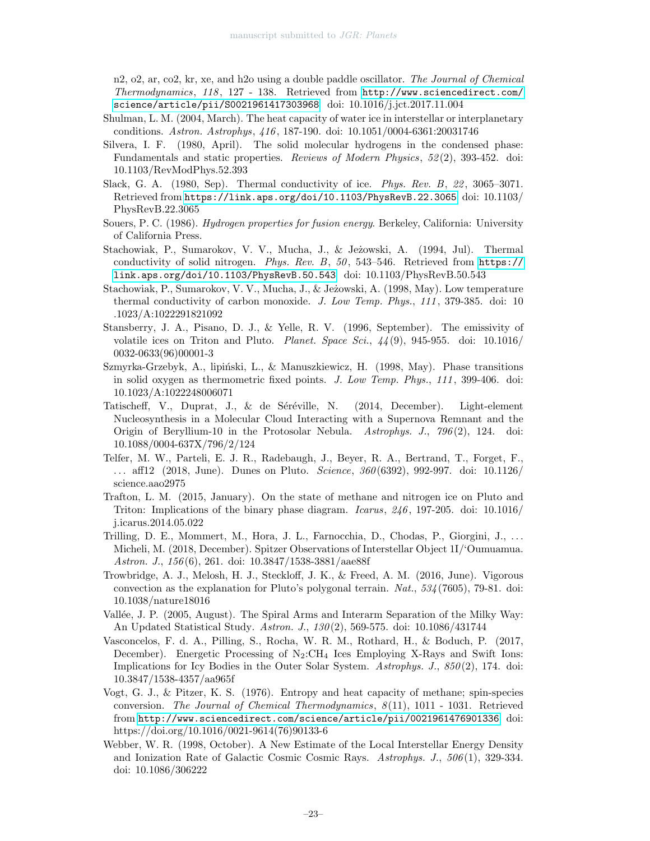n2, o2, ar, co2, kr, xe, and h2o using a double paddle oscillator. The Journal of Chemical Thermodynamics, 118 , 127 - 138. Retrieved from [http://www.sciencedirect.com/](http://www.sciencedirect.com/science/article/pii/S0021961417303968) [science/article/pii/S0021961417303968](http://www.sciencedirect.com/science/article/pii/S0021961417303968) doi: 10.1016/j.jct.2017.11.004

- <span id="page-22-15"></span>Shulman, L. M. (2004, March). The heat capacity of water ice in interstellar or interplanetary conditions. Astron. Astrophys, 416 , 187-190. doi: 10.1051/0004-6361:20031746
- <span id="page-22-10"></span>Silvera, I. F. (1980, April). The solid molecular hydrogens in the condensed phase: Fundamentals and static properties. Reviews of Modern Physics, 52 (2), 393-452. doi: 10.1103/RevModPhys.52.393
- <span id="page-22-16"></span>Slack, G. A. (1980, Sep). Thermal conductivity of ice. Phys. Rev. B, 22 , 3065–3071. Retrieved from <https://link.aps.org/doi/10.1103/PhysRevB.22.3065> doi: 10.1103/ PhysRevB.22.3065
- <span id="page-22-11"></span>Souers, P. C. (1986). Hydrogen properties for fusion energy. Berkeley, California: University of California Press.
- <span id="page-22-12"></span>Stachowiak, P., Sumarokov, V. V., Mucha, J., & Jeżowski, A. (1994, Jul). Thermal conductivity of solid nitrogen. Phys. Rev. B, 50 , 543–546. Retrieved from [https://](https://link.aps.org/doi/10.1103/PhysRevB.50.543) [link.aps.org/doi/10.1103/PhysRevB.50.543](https://link.aps.org/doi/10.1103/PhysRevB.50.543) doi: 10.1103/PhysRevB.50.543
- <span id="page-22-13"></span>Stachowiak, P., Sumarokov, V. V., Mucha, J., & Jeżowski, A. (1998, May). Low temperature thermal conductivity of carbon monoxide. J. Low Temp. Phys., 111, 379-385. doi: 10 .1023/A:1022291821092
- <span id="page-22-1"></span>Stansberry, J. A., Pisano, D. J., & Yelle, R. V. (1996, September). The emissivity of volatile ices on Triton and Pluto. *Planet. Space Sci.*,  $\frac{1}{4}(9)$ , 945-955. doi: 10.1016/ 0032-0633(96)00001-3
- <span id="page-22-14"></span>Szmyrka-Grzebyk, A., lipiński, L., & Manuszkiewicz, H. (1998, May). Phase transitions in solid oxygen as thermometric fixed points. J. Low Temp. Phys., 111 , 399-406. doi: 10.1023/A:1022248006071
- <span id="page-22-5"></span>Tatischeff, V., Duprat, J., & de Séréville, N. (2014, December). Light-element Nucleosynthesis in a Molecular Cloud Interacting with a Supernova Remnant and the Origin of Beryllium-10 in the Protosolar Nebula. Astrophys. J., 796 (2), 124. doi: 10.1088/0004-637X/796/2/124
- <span id="page-22-2"></span>Telfer, M. W., Parteli, E. J. R., Radebaugh, J., Beyer, R. A., Bertrand, T., Forget, F., ... aff12 (2018, June). Dunes on Pluto. *Science*,  $360(6392)$ , 992-997. doi: 10.1126/ science.aao2975
- <span id="page-22-3"></span>Trafton, L. M. (2015, January). On the state of methane and nitrogen ice on Pluto and Triton: Implications of the binary phase diagram. Icarus,  $246$ , 197-205. doi: 10.1016/ j.icarus.2014.05.022
- <span id="page-22-0"></span>Trilling, D. E., Mommert, M., Hora, J. L., Farnocchia, D., Chodas, P., Giorgini, J., . . . Micheli, M. (2018, December). Spitzer Observations of Interstellar Object 1I/'Oumuamua. Astron. J., 156 (6), 261. doi: 10.3847/1538-3881/aae88f
- <span id="page-22-9"></span>Trowbridge, A. J., Melosh, H. J., Steckloff, J. K., & Freed, A. M. (2016, June). Vigorous convection as the explanation for Pluto's polygonal terrain.  $Nat., 534(7605), 79-81.$  doi: 10.1038/nature18016
- <span id="page-22-7"></span>Vallée, J. P. (2005, August). The Spiral Arms and Interarm Separation of the Milky Way: An Updated Statistical Study. Astron. J., 130 (2), 569-575. doi: 10.1086/431744
- <span id="page-22-6"></span>Vasconcelos, F. d. A., Pilling, S., Rocha, W. R. M., Rothard, H., & Boduch, P. (2017, December). Energetic Processing of  $N_2:CH_4$  Ices Employing X-Rays and Swift Ions: Implications for Icy Bodies in the Outer Solar System. Astrophys. J., 850 (2), 174. doi: 10.3847/1538-4357/aa965f
- <span id="page-22-8"></span>Vogt, G. J., & Pitzer, K. S. (1976). Entropy and heat capacity of methane; spin-species conversion. The Journal of Chemical Thermodynamics, 8 (11), 1011 - 1031. Retrieved from <http://www.sciencedirect.com/science/article/pii/0021961476901336> doi: https://doi.org/10.1016/0021-9614(76)90133-6
- <span id="page-22-4"></span>Webber, W. R. (1998, October). A New Estimate of the Local Interstellar Energy Density and Ionization Rate of Galactic Cosmic Cosmic Rays. Astrophys. J., 506 (1), 329-334. doi: 10.1086/306222